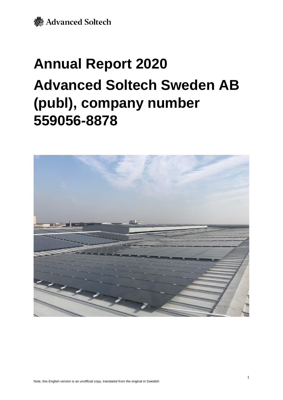

# **Annual Report 2020 Advanced Soltech Sweden AB (publ), company number 559056-8878**

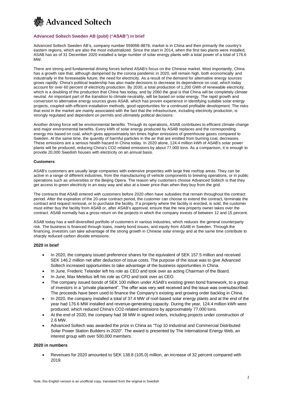

#### **Advanced Soltech Sweden AB (publ) ("ASAB") in brief**

Advanced Soltech Sweden AB's, company number 559056-8878, market is in China and then primarily the country's eastern regions, which are also the most industrialized. Since the start in 2014, when the first two plants were installed, ASAB has as of 31 December 2020 installed a large number of solar energy plants with a total power of a total of 176.6 MW.

There are strong and fundamental driving forces behind ASAB's focus on the Chinese market. Most importantly, China has a growth rate that, although dampened by the corona pandemic in 2020, will remain high, both economically and industrially in the foreseeable future, the need for electricity. As a result of the demand for alternative energy sources grows rapidly. China's political leadership has also made decisions to decrease its dependence on coal, which today account for over 60 percent of electricity production. By 2030, a total production of 1,200 GWh of renewable electricity, which is a doubling of the production that China has today, and by 2060 the goal is that China will be completely climate neutral. An important part of the transition to climate neutrality, will be based on solar energy. The rapid growth and conversion to alternative energy sources gives ASAB, which has proven experience in identifying suitable solar energy projects, coupled with efficient installation methods, good opportunities for a continued profitable development. The risks that exist in the market are mainly associated with the fact that the infrastructure, including electricity production, is strongly regulated and dependent on permits and ultimately political decisions.

Another driving force will be environmental benefits. Through its operations, ASAB contributes to efficient climate change and major environmental benefits. Every kWh of solar energy produced by ASAB replaces and the corresponding energy mix based on coal, which gives approximately ten times higher emissions of greenhouse gases compared to Sweden. At the same time, the quantity of harmful particles in the air that are emitted from burning coal, decreases. These emissions are a serious health hazard in China today. In 2020 alone, 124.4 million kWh of ASAB's solar power plants will be produced, reducing China's CO2-related emissions by about 77,000 tons. As a comparison, it is enough to provide 20,000 Swedish houses with electricity on an annual basis.

#### **Customers**

ASAB's customers are usually large companies with extensive properties with large free rooftop areas. They can be active in a range of different industries, from the manufacturing of vehicle components to brewing operations, or in public operations such as universities or the Beijing Opera. The reason why customers choose Advanced Soltech is that they get access to green electricity in an easy way and also at a lower price than when they buy from the grid.

The contracts that ASAB entered with customers before 2020 often have subsidies that remain throughout the contract period. After the expiration of the 20-year contract period, the customer can choose to extend the contract, terminate the contract and request removal, or to purchase the facility. If a property where the facility is erected, is sold, the customer must either buy the facility from ASAB or, after ASAB's approval, ensure that the new property owner takes over the contract. ASAB normally has a gross return on the projects in which the company invests of between 12 and 15 percent.

ASAB today has a well-diversified portfolio of customers in various industries, which reduces the general counterparty risk. The business is financed through loans, mainly bond issues, and equity from ASAB in Sweden. Through the financing, investors can take advantage of the strong growth in Chinese solar energy and at the same time contribute to sharply reduced carbon dioxide emissions.

#### **2020 in brief**

- In 2020, the company issued preference shares for the equivalent of SEK 157.5 million and received SEK 146.2 million net after deduction of issue costs. The purpose of the issue was to give Advanced Soltech increased opportunities to take advantage of the business opportunities in China.
- In June, Frederic Telander left his role as CEO and took over as acting Chairman of the Board.
- In June, Max Metelius left his role as CFO and took over as CEO.
- The company issued bonds of SEK 100 million under ASAB's existing green bond framework, to a group of investors in a "private placement". The offer was very well received and the issue was oversubscribed. The proceeds have been used to finance the Company's existing and growing order backlog in China.
- In 2020, the company installed a total of 37.4 MW of roof-based solar energy plants and at the end of the year had 176.6 MW installed and revenue-generating capacity. During the year, 124.4 million kWh were produced, which reduced China's CO2-related emissions by approximately 77,000 tons.
- At the end of 2020, the company had 38 MW in signed orders, including projects under construction of 2.6 MW.
- Advanced Soltech was awarded the prize in China as "Top 10 Industrial and Commercial Distributed Solar Power Station Builders in 2020". The award is presented by The International Energy Web, an interest group with over 500,000 members.

#### **2020 in numbers**

• Revenues for 2020 amounted to SEK 138.8 (105.0) million, an increase of 32 percent compared with 2019.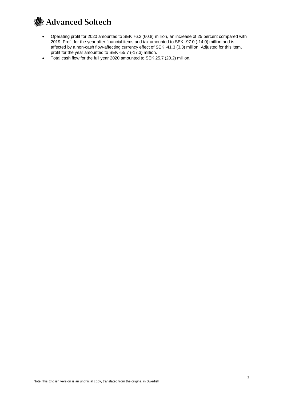

- Operating profit for 2020 amounted to SEK 76.2 (60.8) million, an increase of 25 percent compared with 2019. Profit for the year after financial items and tax amounted to SEK -97.0 (-14.0) million and is affected by a non-cash flow-affecting currency effect of SEK -41.3 (3.3) million. Adjusted for this item, profit for the year amounted to SEK -55.7 (-17.3) million.
- Total cash flow for the full year 2020 amounted to SEK 25.7 (20.2) million.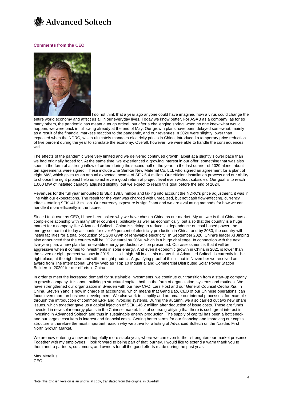

#### **Comments from the CEO**



I do not think that a year ago anyone could have imagined how a virus could change the entire world economy and affect us all in our everyday lives. Today we know better. For ASAB as a company, as for so many others, the pandemic has meant a tough ordeal, but after a challenging spring, when no one knew what would happen, we were back in full swing already at the end of May. Our growth plans have been delayed somewhat, mainly as a result of the financial market's reaction to the pandemic, and our revenues in 2020 were slightly lower than expected when the NDRC, which ultimately manages electricity prices in China, introduced a temporary price reduction of five percent during the year to stimulate the economy. Overall, however, we were able to handle the consequences well.

The effects of the pandemic were very limited and we delivered continued growth, albeit at a slightly slower pace than we had originally hoped for. At the same time, we experienced a growing interest in our offer, something that was also seen in the form of a strong inflow of orders during the second half of the year. In the last quarter of 2020 alone, about ten agreements were signed. These include Zhe SenKai New Material Co. Ltd. who signed an agreement for a plant of eight MW, which gives us an annual expected income of SEK 5.4 million. Our efficient installation process and our ability to choose the right project help us to achieve a good return at project level even without subsidies. Our goal is to reach 1,000 MW of installed capacity adjusted slightly, but we expect to reach this goal before the end of 2024.

Revenues for the full year amounted to SEK 138.8 million and taking into account the NDRC's price adjustment, it was in line with our expectations. The result for the year was charged with unrealized, but not cash flow-affecting, currency effects totaling SEK -41.3 million. Our currency exposure is significant and we are evaluating methods for how we can handle it more efficiently in the future.

Since I took over as CEO, I have been asked why we have chosen China as our market. My answer is that China has a complex relationship with many other countries, politically as well as economically, but also that the country is a huge market for a company like Advanced Soltech. China is striving to reduce its dependence on coal based power, the energy source that today accounts for over 60 percent of electricity production in China, and by 2030, the country will install facilities for a total production of 1,200 GWh of renewable electricity. In September 2020, China's leader Xi Jinping also announced that the country will be CO2-neutral by 2060, which is a huge challenge. In connection with the next five-year plan, a new plan for renewable energy production will be presented. Our assessment is that it will be aggressive when it comes to investments in solar energy. And even if economic growth in China in 2021 is lower than the seven or eight percent we saw in 2019, it is still high. All in all, this means that Advanced Soltech is currently in the right place, at the right time and with the right product. A gratifying proof of this is that in November we received an award from The International Energy Web as "Top 10 Industrial and Commercial Distributed Solar Power Station Builders in 2020" for our efforts in China

In order to meet the increased demand for sustainable investments, we continue our transition from a start-up company to growth company. It is about building a structural capital, both in the form of organization, systems and routines. We have strengthened our organization in Sweden with our new CFO, Lars Höst and our General Counsel Cecilia Xia. In China, Steven Yang is now in charge of accounting, which means that Gang Bao, CEO of our Chinese operations, can focus even more on business development. We also work to simplify and automate our internal processes, for example through the introduction of common ERP and invoicing systems. During the autumn, we also carried out two new share issues, which together gave us a capital injection of SEK 146.2 million after deduction of issue costs. These are funds invested in new solar energy plants in the Chinese market. It is of course gratifying that there is such great interest in investing in Advanced Soltech and thus in sustainable energy production. The supply of capital has been a bottleneck and our largest cost item is interest and financial costs. Getting better terms for our financing and improving our capital structure is therefore the most important reason why we strive for a listing of Advanced Soltech on the Nasdaq First North Growth Market.

We are now entering a new and hopefully more stable year, where we can even further strenghten our market presence. Together with my employees, I look forward to being part of that journey. I would like to extend a warm thank you to them and to partners, customers, and owners for all the good efforts made during the past year.

Max Metelius CEO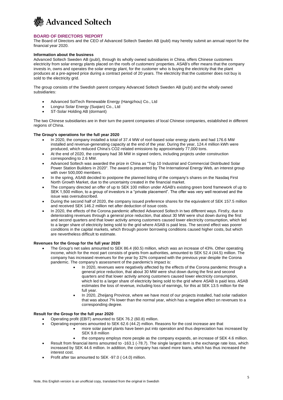

#### **BOARD OF DIRECTORS 'REPORT**

The Board of Directors and the CEO of Advanced Soltech Sweden AB (publ) may hereby submit an annual report for the financial year 2020.

#### **Information about the business**

Advanced Soltech Sweden AB (publ), through its wholly owned subsidiaries in China, offers Chinese customers electricity from solar energy plants placed on the roofs of customers' properties. ASAB's offer means that the company invests in, owns and operates the solar energy plant, for the customer who is buying the electricity that the plant produces at a pre-agreed price during a contract period of 20 years. The electricity that the customer does not buy is sold to the electricity grid.

The group consists of the Swedish parent company Advanced Soltech Sweden AB (publ) and the wholly owned subsidiaries:

- Advanced SolTech Renewable Energy (Hangzhou) Co., Ltd
- Longrui Solar Energy (Suqian) Co., Ltd
- ST-Solar Holding AB (dormant)

The two Chinese subsidiaries are in their turn the parent companies of local Chinese companies, established in different regions of China.

#### **The Group's operations for the full year 2020**

- In 2020, the company installed a total of 37.4 MW of roof-based solar energy plants and had 176.6 MW installed and revenue-generating capacity at the end of the year. During the year, 124.4 million kWh were produced, which reduced China's CO2-related emissions by approximately 77,000 tons.
- At the end of 2020, the company had 38 MW in signed orders, including projects under construction corresponding to 2.6 MW.
- Advanced Soltech was awarded the prize in China as "Top 10 Industrial and Commercial Distributed Solar Power Station Builders in 2020". The award is presented by The International Energy Web, an interest group with over 500,000 members.
- In the spring, ASAB decided to postpone the planned listing of the company's shares on the Nasdaq First North Growth Market, due to the uncertainty created in the financial market.
- The company directed an offer of up to SEK 100 million under ASAB's existing green bond framework of up to SEK 1,500 million, to a group of investors in a "private placement". The offer was very well received and the issue was oversubscribed.
- During the second half of 2020, the company issued preference shares for the equivalent of SEK 157.5 million and received SEK 146.2 million net after deduction of issue costs.
- In 2020, the effects of the Corona pandemic affected Advanced Soltech in two different ways. Firstly, due to deteriorating revenues through a general price reduction, that about 30 MW were shut down during the first and second quarters and that lower activity among customers caused lower electricity consumption, which led to a larger share of electricity being sold to the grid where ASAB is paid less. The second effect was poorer conditions in the capital markets, which through poorer borrowing conditions caused higher costs, but which are nevertheless difficult to estimate.

#### **Revenues for the Group for the full year 2020**

- The Group's net sales amounted to SEK 86.4 (60.5) million, which was an increase of 43%. Other operating income, which for the most part consists of grants from authorities, amounted to SEK 52.4 (44.5) million. The company has increased revenues for the year by 32% compared with the previous year despite the Corona pandemic. The company's assessment of the pandemic's impact is:
	- In 2020, revenues were negatively affected by the effects of the Corona pandemic through a general price reduction, that about 30 MW were shut down during the first and second quarters and that lower activity among customers caused lower electricity consumption, which led to a larger share of electricity being sold to the grid where ASAB is paid less. ASAB estimates the loss of revenue, including loss of earnings, for this at SEK 13.5 million for the full year.
	- In 2020, Zheijang Province, where we have most of our projects installed, had solar radiation that was about 7% lower than the normal year, which has a negative effect on revenues to a corresponding degree.

#### **Result for the Group for the full year 2020**

- Operating profit (EBIT) amounted to SEK 76.2 (60.8) million.
	- Operating expenses amounted to SEK 62.6 (44.2) million. Reasons for the cost increase are that
		- more solar panel plants have been put into operation and thus depreciation has increased by SEK 9.8 million
		- the company employs more people as the company expands, an increase of SEK 4.6 million.
- Result from financial items amounted to -163.1 (-78.7). The single largest item is the exchange rate loss, which increased by SEK 44.6 million. In addition, the company has raised more loans, which has thus increased the interest cost.
- Profit after tax amounted to SEK -97.0 (-14.0) million.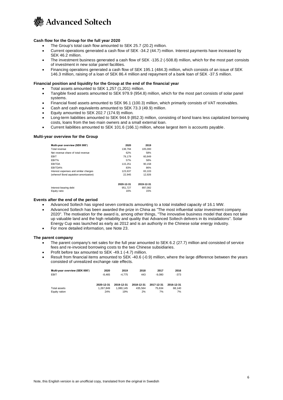

#### **Cash flow for the Group for the full year 2020**

- The Group's total cash flow amounted to SEK 25.7 (20.2) million.
- Current operations generated a cash flow of SEK -34.2 (44.7) million. Interest payments have increased by SEK 46.2 million.
- The investment business generated a cash flow of SEK -135.2 (-508.8) million, which for the most part consists of investment in new solar panel facilities.
- Financing operations generated a cash flow of SEK 195.1 (484.3) million, which consists of an issue of SEK 146.3 million, raising of a loan of SEK 86.4 million and repayment of a bank loan of SEK -37.5 million.

#### **Financial position and liquidity for the Group at the end of the financial year**

- Total assets amounted to SEK 1,257 (1,201) million.
- Tangible fixed assets amounted to SEK 979.9 (954.8) million, which for the most part consists of solar panel systems.
- Financial fixed assets amounted to SEK 96.1 (100.3) million, which primarily consists of VAT receivables.
- Cash and cash equivalents amounted to SEK 73.3 (49.9) million.
- Equity amounted to SEK 202.7 (174.9) million.
- Long-term liabilities amounted to SEK 944.9 (852.3) million, consisting of bond loans less capitalized borrowing costs, loans from the two main owners and a small external loan.
- Current liabilities amounted to SEK 101.6 (166.1) million, whose largest item is accounts payable.

#### **Multi-year overview for the Group**

| Multi-year overview (SEK 000')         | 2020       | 2019       |
|----------------------------------------|------------|------------|
| Total revenue                          | 138.794    | 105.000    |
| Net revenue share of total revenue     | 62%        | 58%        |
| <b>EBIT</b>                            | 79.179     | 60.849     |
| EBIT%                                  | 57%        | 58%        |
| <b>EBITDA</b>                          | 115.251    | 90.158     |
| EBITDA%                                | 83%        | 86%        |
| Interest expenses and similar charges  | 123.637    | 83.103     |
| (whereof Bond aquisition amortization) | 22.945     | 12.926     |
|                                        | 2020-12-31 | 2019-12-31 |
| Interest-bearing debt                  | 951.727    | 897.082    |
| Equity ratio                           | 16%        | 15%        |

#### **Events after the end of the period**

- Advanced Soltech has signed seven contracts amounting to a total installed capacity of 16.1 MW.
- Advanced Soltech has been awarded the prize in China as "The most influential solar investment company 2020". The motivation for the award is, among other things, "The innovative business model that does not take up valuable land and the high reliability and quality that Advanced Soltech delivers in its installations". Solar Energy Cup was launched as early as 2012 and is an authority in the Chinese solar energy industry.
- For more detailed information, see Note 23.

#### **The parent company**

- The parent company's net sales for the full year amounted to SEK 6.2 (27.7) million and consisted of service fees and re-invoiced borrowing costs to the two Chinese subsidiaries.
- Profit before tax amounted to SEK -49.1 (-4.7) million.
- Result from financial items amounted to SEK -40.6 (-0.9) million, where the large difference between the years consisted of unrealized exchange rate effects.

| Multi-year overview (SEK 000') | 2020       | 2019       | 2018       | 2017       | 2016       |
|--------------------------------|------------|------------|------------|------------|------------|
| EBIT                           | $-8.465$   | $-4.775$   | 443        | $-9.080$   | $-373$     |
|                                |            |            |            |            |            |
|                                | 2020-12-31 | 2019-12-31 | 2018-12-31 | 2017-12-31 | 2016-12-31 |
| Total assets                   | 1.267.849  | 1.080.145  | 435.564    | 75.634     | 68.140     |
| Equity ration                  | 24%        | 19%        | 2%         | 7%         | 7%         |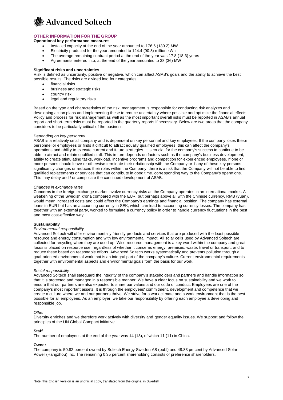

### **OTHER INFORMATION FOR THE GROUP**

#### **Operational key performance measures**

- Installed capacity at the end of the year amounted to 176.6 (139.2) MW
- Electricity produced for the year amounted to 124.4 (90.3) million kWh
- The average remaining contract period at the end of the year was 17.8 (18.3) years
- Agreements entered into, at the end of the year amounted to 38 (36) MW

#### **Significant risks and uncertainties**

Risk is defined as uncertainty, positive or negative, which can affect ASAB's goals and the ability to achieve the best possible results. The risks are divided into four categories:

- financial risks
- business and strategic risks
- country risk
- legal and regulatory risks.

Based on the type and characteristics of the risk, management is responsible for conducting risk analyzes and developing action plans and implementing these to reduce uncertainty where possible and optimize the financial effects. Policy and process for risk management as well as the most important overall risks must be reported in ASAB's annual report and short-term risks must be reported in the quarterly reports if necessary. Below are two areas that the company considers to be particularly critical of the business.

#### *Depending on key personnel*

ASAB is a relatively small company and is dependent on key personnel and key employees. If the company loses these personnel or employees or finds it difficult to attract equally qualified employees, this can affect the company's operations and ability to execute current and future strategies. It is crucial for the company's success to continue to be able to attract and retain qualified staff. This in turn depends on factors such as the company's business development, ability to create stimulating tasks, workload, incentive programs and competition for experienced employees. If one or more persons should leave or otherwise terminate their relationship with the Company or if any of these key persons significantly changes or reduces their roles within the Company, there is a risk that the Company will not be able to find qualified replacements or services that can contribute in good time. corresponding way to the Company's operations. This may delay and / or complicate the continued development of ASAB.

#### *Changes in exchange rates*

Concerns in the foreign exchange market involve currency risks as the Company operates in an international market. A weakening of the Swedish krona compared with the EUR, but perhaps above all with the Chinese currency, RMB (yuan), would mean increased costs and could affect the Company's earnings and financial position. The company has external loans in EUR but has an accounting currency in SEK, which can lead to accounting currency losses. The company has, together with an external party, worked to formulate a currency policy in order to handle currency fluctuations in the best and most cost-effective way.

#### **Sustainability**

#### *Environmental responsibility*

Advanced Soltech will offer environmentally friendly products and services that are produced with the least possible resource and energy consumption and with low environmental impact. All solar cells used by Advanced Soltech are collected for recycling when they are used up. Wise resource management is a key word within the company and great focus is placed on resource use, regardless of whether it concerns energy, premises, waste, travel or transport, and to reduce these based on reasonable efforts. Advanced Soltech works systematically and prevents pollution through a goal-oriented environmental work that is an integral part of the company's culture. Current environmental requirements together with environmental aspects and environmental goals form the basis for our work.

#### *Social responsibility*

Advanced Soltech shall safeguard the integrity of the company's stakeholders and partners and handle information so that it is protected and managed in a responsible manner. We have a clear focus on sustainability and we work to ensure that our partners are also expected to share our values and our code of conduct. Employees are one of the company's most important assets. It is through the employees' commitment, development and competence that we create a culture where we and our partners thrive. We strive for a work climate and a work environment that is the best possible for all employees. As an employer, we take our responsibility by offering each employee a developing and responsible job.

#### *Other*

Diversity enriches and we therefore work actively with diversity and gender equality issues. We support and follow the principles of the UN Global Compact initiative.

#### **Staff**

The number of employees at the end of the year was 14 (13), of which 11 (11) in China.

#### **Owner**

The company is 50.82 percent owned by Soltech Energy Sweden AB (publ) and 48.83 percent by Advanced Solar Power (Hangzhou) Inc. The remaining 0.35 percent shareholding consists of preference shareholders.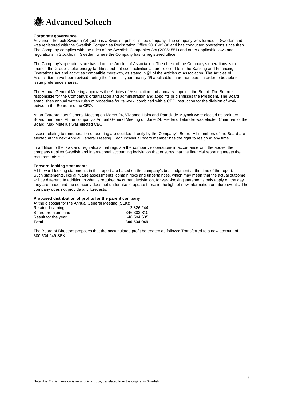

#### **Corporate governance**

Advanced Soltech Sweden AB (publ) is a Swedish public limited company. The company was formed in Sweden and was registered with the Swedish Companies Registration Office 2016-03-30 and has conducted operations since then. The Company complies with the rules of the Swedish Companies Act (2005: 551) and other applicable laws and regulations in Stockholm, Sweden, where the Company has its registered office.

The Company's operations are based on the Articles of Association. The object of the Company's operations is to finance the Group's solar energy facilities, but not such activities as are referred to in the Banking and Financing Operations Act and activities compatible therewith, as stated in §3 of the Articles of Association. The Articles of Association have been revised during the financial year, mainly §5 applicable share numbers, in order to be able to issue preference shares.

The Annual General Meeting approves the Articles of Association and annually appoints the Board. The Board is responsible for the Company's organization and administration and appoints or dismisses the President. The Board establishes annual written rules of procedure for its work, combined with a CEO instruction for the division of work between the Board and the CEO.

At an Extraordinary General Meeting on March 24, Vivianne Holm and Patrick de Muynck were elected as ordinary Board members. At the company's Annual General Meeting on June 24, Frederic Telander was elected Chairman of the Board. Max Metelius was elected CEO.

Issues relating to remuneration or auditing are decided directly by the Company's Board. All members of the Board are elected at the next Annual General Meeting. Each individual board member has the right to resign at any time.

In addition to the laws and regulations that regulate the company's operations in accordance with the above, the company applies Swedish and international accounting legislation that ensures that the financial reporting meets the requirements set.

#### **Forward-looking statements**

All forward-looking statements in this report are based on the company's best judgment at the time of the report. Such statements, like all future assessments, contain risks and uncertainties, which may mean that the actual outcome will be different. In addition to what is required by current legislation, forward-looking statements only apply on the day they are made and the company does not undertake to update these in the light of new information or future events. The company does not provide any forecasts.

#### **Proposed distribution of profits for the parent company**

At the disposal for the Annual General Meeting (SEK): Retained earnings 2,826,244

| Total               | 300,534,949 |
|---------------------|-------------|
| Result for the year | -48.594.605 |
| Share premium fund  | 346,303,310 |

The Board of Directors proposes that the accumulated profit be treated as follows: Transferred to a new account of 300,534,949 SEK.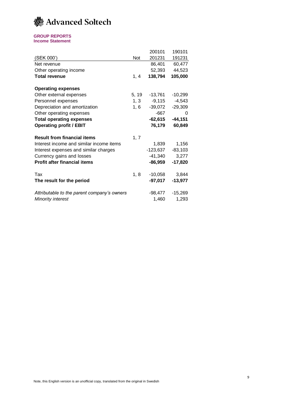

#### **GROUP REPORTS Income Statement**

| <b>Not</b> | 200101     | 190101                                        |
|------------|------------|-----------------------------------------------|
|            |            |                                               |
|            | 201231     | 191231                                        |
|            | 86,401     | 60,477                                        |
|            | 52,393     | 44,523                                        |
| 1, 4       | 138,794    | 105,000                                       |
|            |            |                                               |
|            | $-13,761$  | $-10,299$                                     |
|            | $-9,115$   | $-4,543$                                      |
|            | $-39,072$  | $-29,309$                                     |
|            | $-667$     | 0                                             |
|            | $-62,615$  | $-44,151$                                     |
|            | 76,179     | 60,849                                        |
| 1, 7       |            |                                               |
|            | 1,839      | 1,156                                         |
|            | $-123,637$ | $-83,103$                                     |
|            | -41,340    | 3,277                                         |
|            | -86,959    | $-17,820$                                     |
| 1, 8       |            | 3,844                                         |
|            | -97,017    | $-13,977$                                     |
|            |            | $-15,269$                                     |
|            | 1,460      | 1,293                                         |
|            |            | 5, 19<br>1, 3<br>1, 6<br>$-10,058$<br>-98,477 |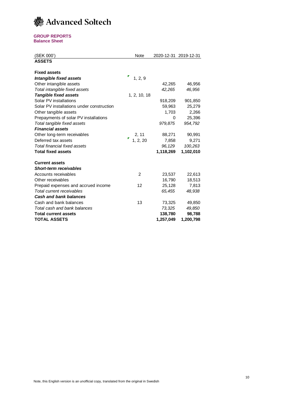## **k** Advanced Soltech

## **GROUP REPORTS**

**Balance Sheet**

| (SEK 000')                                | Note         |           | 2020-12-31 2019-12-31 |
|-------------------------------------------|--------------|-----------|-----------------------|
| <b>ASSETS</b>                             |              |           |                       |
|                                           |              |           |                       |
| <b>Fixed assets</b>                       |              |           |                       |
| <b>Intangible fixed assets</b>            | 1, 2, 9      |           |                       |
| Other intangible assets                   |              | 42,265    | 46,956                |
| Total intangible fixed assets             |              | 42,265    | 46,956                |
| <b>Tangible fixed assets</b>              | 1, 2, 10, 18 |           |                       |
| Solar PV installations                    |              | 918,209   | 901,850               |
| Solar PV installations under construction |              | 59,963    | 25,279                |
| Other tangible assets                     |              | 1,703     | 2,266                 |
| Prepayments of solar PV installations     |              | 0         | 25,396                |
| Total tangible fixed assets               |              | 979,875   | 954,792               |
| <b>Financial assets</b>                   |              |           |                       |
| Other long-term receivables               | 2, 11        | 88,271    | 90,991                |
| Deferred tax assets                       | 1, 2, 20     | 7,858     | 9,271                 |
| Total financial fixed assets              |              | 96, 129   | 100,263               |
| <b>Total fixed assets</b>                 |              | 1,118,269 | 1,102,010             |
|                                           |              |           |                       |
| <b>Current assets</b>                     |              |           |                       |
| <b>Short-term receivables</b>             |              |           |                       |
| Accounts receivables                      | 2            | 23,537    | 22,613                |
| Other receivables                         |              | 16,790    | 18,513                |
| Prepaid expenses and accrued income       | 12           | 25,128    | 7,813                 |
| Total current receivables                 |              | 65,455    | 48,938                |
| <b>Cash and bank balances</b>             |              |           |                       |
| Cash and bank balances                    | 13           | 73,325    | 49,850                |
| Total cash and bank balances              |              | 73,325    | 49,850                |
| <b>Total current assets</b>               |              | 138,780   | 98,788                |
| <b>TOTAL ASSETS</b>                       |              | 1,257,049 | 1,200,798             |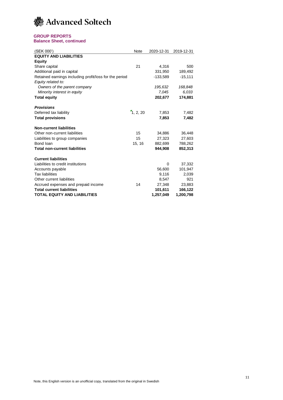

## **GROUP REPORTS**

#### **Balance Sheet, continued**

| (SEK 000')                                             | Note     | 2020-12-31 | 2019-12-31 |
|--------------------------------------------------------|----------|------------|------------|
| <b>EQUITY AND LIABILITIES</b>                          |          |            |            |
| <b>Equity</b>                                          |          |            |            |
| Share capital                                          | 21       | 4,316      | 500        |
| Additional paid in capital                             |          | 331,950    | 189,492    |
| Retained earnings including profit/loss for the period |          | $-133,589$ | $-15,111$  |
| Equity related to:                                     |          |            |            |
| Owners of the parent company                           |          | 195,632    | 168,848    |
| Minority interest in equity                            |          | 7.045      | 6.033      |
| <b>Total equity</b>                                    |          | 202,677    | 174,881    |
| <b>Provisions</b>                                      |          |            |            |
| Deferred tax liability                                 | 1, 2, 20 | 7,853      | 7,482      |
| <b>Total provisions</b>                                |          | 7,853      | 7,482      |
|                                                        |          |            |            |
| <b>Non-current liabilities</b>                         |          |            |            |
| Other non-current liabilities                          | 15       | 34,886     | 36,448     |
| Liabilities to group companies                         | 15       | 27,323     | 27,603     |
| Bond loan                                              | 15, 16   | 882,699    | 788,262    |
| <b>Total non-current liabilities</b>                   |          | 944,908    | 852,313    |
| <b>Current liabilities</b>                             |          |            |            |
| Liabilities to credit institutions                     |          | 0          | 37,332     |
| Accounts payable                                       |          | 56,600     | 101,947    |
| <b>Tax liabilities</b>                                 |          | 9,116      | 2,039      |
| Other current liabilities                              |          | 8,547      | 921        |
| Accrued expenses and prepaid income                    | 14       | 27,348     | 23,883     |
| <b>Total current liabilities</b>                       |          | 101,611    | 166,122    |
| <b>TOTAL EQUITY AND LIABILITIES</b>                    |          | 1,257,049  | 1,200,798  |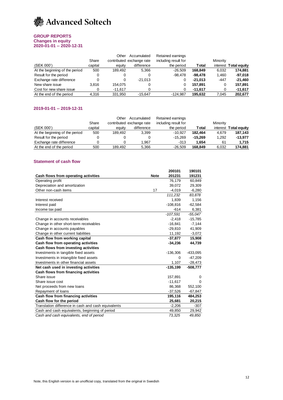

## **GROUP REPORTS**

#### **Changes in equity 2020-01-01 -- 2020-12-31**

|                                |         | Other     | Accumulated               | Retained earnings    |           |          |                       |
|--------------------------------|---------|-----------|---------------------------|----------------------|-----------|----------|-----------------------|
|                                | Share   |           | contributed exchange rate | including result for |           | Minority |                       |
| (SEK 000')                     | capital | eauity    | difference                | the period           | Total     |          | interest Total equity |
| At the beginning of the period | 500     | 189.492   | 5.366                     | $-26.509$            | 168.849   | 6,032    | 174.881               |
| Result for the period          |         |           |                           | -98.478              | $-98.478$ | 1,460    | $-97.018$             |
| Exchange rate difference       |         |           | $-21.013$                 |                      | $-21.013$ | $-447$   | $-21.460$             |
| New share issue                | 3.816   | 154.075   |                           |                      | 157.891   | 0        | 157.891               |
| Cost for new share issue       |         | $-11.617$ | 0                         |                      | $-11.617$ | 0        | $-11,617$             |
| At the end of the period       | 4.316   | 331.950   | $-15.647$                 | $-124.987$           | 195.632   | 7.045    | 202.677               |

#### **2019-01-01 -- 2019-12-31**

|                                |         | Other   | Accumulated               | Retained earnings    |         |          |                       |
|--------------------------------|---------|---------|---------------------------|----------------------|---------|----------|-----------------------|
|                                | Share   |         | contributed exchange rate | including result for |         | Minority |                       |
| (SEK 000')                     | capital | eauity  | difference                | the period           | Total   |          | interest Total equity |
| At the beginning of the period | 500     | 189.492 | 3.399                     | $-10.927$            | 182.464 | 4.679    | 187.143               |
| Result for the period          |         |         |                           | $-15.269$            | -15.269 | 1.292    | $-13.977$             |
| Exchange rate difference       |         |         | 1.967                     | $-313$               | 1.654   | 61       | 1.715                 |
| At the end of the period       | 500     | 189.492 | 5.366                     | $-26.509$            | 168.849 | 6,032    | 174.881               |

#### **Statement of cash flow**

|                                                     |             | 200101     | 190101     |
|-----------------------------------------------------|-------------|------------|------------|
| Cash flows from operating activities                | <b>Note</b> | 201231     | 191231     |
| Operating profit                                    |             | 76,179     | 60,849     |
| Depreciation and amortization                       |             | 39,072     | 29,309     |
| Other non-cash items                                | 17          | $-4,019$   | $-6,280$   |
|                                                     |             | 111,232    | 83,878     |
| Interest received                                   |             | 1.839      | 1,156      |
| Interest paid                                       |             | $-108,816$ | $-62,584$  |
| Income tax paid                                     |             | $-614$     | 6,381      |
|                                                     |             | $-107.591$ | $-55.047$  |
| Change in accounts receivables                      |             | $-2,418$   | $-15,785$  |
| Change in other short-term receivables              |             | $-16,841$  | $-7,144$   |
| Change in accounts payables                         |             | $-29,810$  | 41,909     |
| Change in other current liabilities                 |             | 11,192     | $-3,072$   |
| Cash flow from working capital                      |             | $-37,877$  | 15,908     |
| Cash flow from operating activities                 |             | $-34,236$  | 44,739     |
| Cash flows from investing activities                |             |            |            |
| Investments in tangible fixed assets                |             | $-136,306$ | $-433,095$ |
| Investments in intangible fixed assets              |             | $\Omega$   | $-47,209$  |
| Investments in other financial assets               |             | 1,107      | $-28,473$  |
| Net cash used in investing activities               |             | $-135,199$ | $-508,777$ |
| Cash flows from financing activities                |             |            |            |
| Share issue                                         |             | 157,891    | 0          |
| Share issue cost                                    |             | $-11,617$  | $\Omega$   |
| Net proceeds from new loans                         |             | 86,368     | 552,100    |
| Repayment of loans                                  |             | $-37,526$  | -67,847    |
| Cash flow from financing activities                 |             | 195,116    | 484,253    |
| Cash flow for the period                            |             | 25,681     | 20,215     |
| Translation difference in cash and cash equivalents |             | $-2,206$   | $-307$     |
| Cash and cash equivalents, beginning of period      |             | 49,850     | 29,942     |
| Cash and cash equivalents, end of period            |             | 73,325     | 49,850     |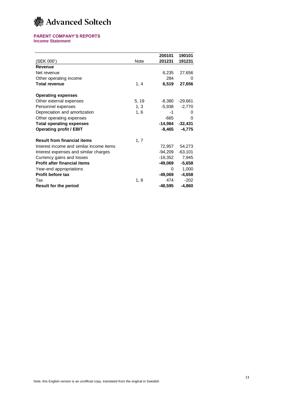## **k** Advanced Soltech

## **PARENT COMPANY'S REPORTS**

**Income Statement**

|                                          |       | 200101   | 190101    |
|------------------------------------------|-------|----------|-----------|
| (SEK 000')                               | Note  | 201231   | 191231    |
| Revenue                                  |       |          |           |
| Net revenue                              |       | 6,235    | 27,656    |
| Other operating income                   |       | 284      | 0         |
| <b>Total revenue</b>                     | 1, 4  | 6,519    | 27,656    |
| <b>Operating expenses</b>                |       |          |           |
| Other external expenses                  | 5, 19 | -8,380   | -29,661   |
| Personnel expenses                       | 1, 3  | -5,938   | $-2,770$  |
| Depreciation and amortization            | 1, 6  | -1       | 0         |
| Other operating expenses                 |       | $-665$   | 0         |
| <b>Total operating expenses</b>          |       | -14,984  | $-32,431$ |
| <b>Operating profit / EBIT</b>           |       | $-8,465$ | $-4,775$  |
| <b>Result from financial items</b>       | 1, 7  |          |           |
| Interest income and similar income items |       | 72,957   | 54,273    |
| Interest expenses and similar charges    |       | -94,209  | $-63,101$ |
| Currency gains and losses                |       | -19,352  | 7,945     |
| <b>Profit after financial items</b>      |       | -49,069  | $-5,658$  |
| Year-end appropriations                  |       | 0        | 1,000     |
| <b>Profit before tax</b>                 |       | -49,069  | $-4,658$  |
| Tax                                      | 1, 8  | 474      | $-202$    |
| <b>Result for the period</b>             |       | -48,595  | -4,860    |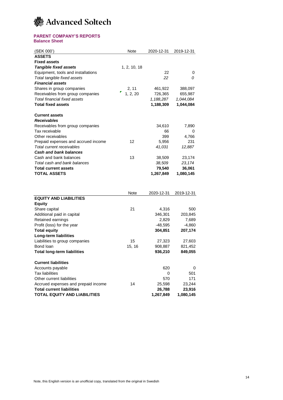

## **PARENT COMPANY'S REPORTS**

**Balance Sheet**

| (SEK 000')                                                              | Note         | 2020-12-31          | 2019-12-31          |
|-------------------------------------------------------------------------|--------------|---------------------|---------------------|
| <b>ASSETS</b>                                                           |              |                     |                     |
| <b>Fixed assets</b>                                                     |              |                     |                     |
| <b>Tangible fixed assets</b>                                            | 1, 2, 10, 18 |                     |                     |
| Equipment, tools and installations                                      |              | 22                  | 0                   |
| Total tangible fixed assets                                             |              | 22                  | 0                   |
| <b>Financial assets</b>                                                 |              |                     |                     |
| Shares in group companies                                               | 2, 11        | 461,922             | 388,097             |
| Receivables from group companies                                        | 1, 2, 20     | 726,365             | 655,987             |
| Total financial fixed assets                                            |              | 1,188,287           | 1,044,084           |
| <b>Total fixed assets</b>                                               |              | 1,188,309           | 1,044,084           |
| <b>Current assets</b>                                                   |              |                     |                     |
| Receivables                                                             |              |                     |                     |
| Receivables from group companies                                        |              | 34,610              | 7,890               |
| Tax receivable                                                          |              | 66                  | 0                   |
| Other receivables                                                       |              | 399                 | 4,766               |
| Prepaid expenses and accrued income                                     | 12           | 5,956               | 231                 |
| Total current receivables                                               |              | 41,031              | 12,887              |
| <b>Cash and bank balances</b>                                           |              |                     |                     |
| Cash and bank balances                                                  | 13           | 38,509              | 23,174              |
| Total cash and bank balances                                            |              | 38,509              | 23,174              |
| Total current assets                                                    |              | 79,540              | 36,061              |
| <b>TOTAL ASSETS</b>                                                     |              | 1,267,849           | 1,080,145           |
|                                                                         |              |                     |                     |
|                                                                         | Note         | 2020-12-31          | 2019-12-31          |
| <b>EQUITY AND LIABILITIES</b>                                           |              |                     |                     |
| <b>Equity</b>                                                           |              |                     |                     |
| Share capital                                                           | 21           | 4,316               | 500                 |
| Additional paid in capital                                              |              | 346,301             | 203,845             |
| Retained earnings                                                       |              | 2,829               | 7,689               |
| Profit (loss) for the year                                              |              | $-48,595$           | $-4,860$            |
| <b>Total equity</b>                                                     |              | 304,851             | 207,174             |
| Long-term liabilities                                                   |              |                     |                     |
| Liabilities to group companies                                          | 15           | 27,323              | 27,603              |
| Bond loan                                                               | 15, 16       | 908,887             | 821,452             |
| <b>Total long-term liabilities</b>                                      |              | 936,210             | 849,055             |
| <b>Current liabilities</b>                                              |              |                     |                     |
| Accounts payable                                                        |              | 620                 | 0                   |
| <b>Tax liabilities</b>                                                  |              | 0                   | 501                 |
| Other current liabilities                                               |              | 570                 | 171                 |
| Accrued expenses and prepaid income                                     |              |                     |                     |
|                                                                         | 14           | 25,598              | 23,244              |
| <b>Total current liabilities</b><br><b>TOTAL EQUITY AND LIABILITIES</b> |              | 26,788<br>1,267,849 | 23,916<br>1,080,145 |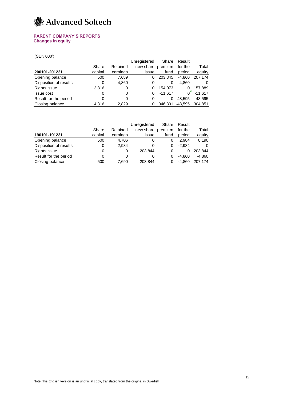## **k** Advanced Soltech

#### **PARENT COMPANY'S REPORTS Changes in equity**

(SEK 000')

|                        |         |          | Unregistered      | Share     | Result    |           |
|------------------------|---------|----------|-------------------|-----------|-----------|-----------|
|                        | Share   | Retained | new share premium |           | for the   | Total     |
| 200101-201231          | capital | earnings | issue             | fund      | period    | equity    |
| Opening balance        | 500     | 7.689    | 0                 | 203,845   | $-4,860$  | 207.174   |
| Disposition of results | 0       | $-4.860$ | 0                 | 0         | 4.860     |           |
| Rights issue           | 3,816   |          | 0                 | 154.073   | 0         | 157,889   |
| <b>Issue cost</b>      | 0       |          | 0                 | $-11.617$ | 0         | $-11.617$ |
| Result for the period  |         |          | 0                 | 0         | -48.595   | $-48.595$ |
| Closing balance        | 4.316   | 2.829    | 0                 | 346.301   | $-48.595$ | 304.851   |

|                        |         |          | Unregistered      | Share | Result   |          |
|------------------------|---------|----------|-------------------|-------|----------|----------|
|                        | Share   | Retained | new share premium |       | for the  | Total    |
| 190101-191231          | capital | earnings | issue             | fund  | period   | equity   |
| Opening balance        | 500     | 4.706    | 0                 | 0     | 2.984    | 8,190    |
| Disposition of results | 0       | 2,984    | 0                 | 0     | $-2.984$ |          |
| Rights issue           | 0       | 0        | 203.844           | 0     | 0        | 203.844  |
| Result for the period  |         | 0        | 0                 | 0     | -4.860   | $-4,860$ |
| Closing balance        | 500     | 7.690    | 203.844           | 0     | $-4.860$ | 207.174  |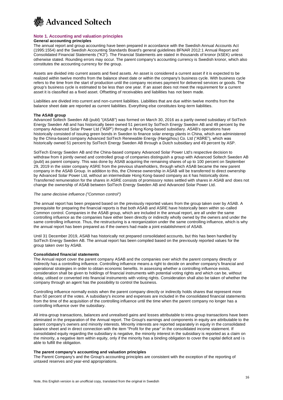

#### **Note 1. Accounting and valuation principles**

#### **General accounting principles**

The annual report and group accounting have been prepared in accordance with the Swedish Annual Accounts Act (1995:1554) and the Swedish Accounting Standards Board's general guidelines BFNAR 2012:1 Annual Report and Consolidated Financial Statements ("K3"). The Financial Statements are stated in thousands of kronor (kSEK) unless otherwise stated. Rounding errors may occur. The parent company's accounting currency is Swedish kronor, which also constitutes the accounting currency for the group.

Assets are divided into current assets and fixed assets. An asset is considered a current asset if it is expected to be realized within twelve months from the balance sheet date or within the company's business cycle. With business cycle refers to the time from the start of production until the company receives payment for delivered services or goods. The group's business cycle is estimated to be less than one year. If an asset does not meet the requirement for a current asset it is classified as a fixed asset. Offsetting of receivables and liabilities has not been made.

Liabilities are divided into current and non-current liabilities. Liabilities that are due within twelve months from the balance sheet date are reported as current liabilities. Everything else constitutes long-term liabilities.

#### **The ASAB group**

Advanced Soltech Sweden AB (publ) "(ASAB") was formed on March 30, 2016 as a partly owned subsidiary of SolTech Energy Sweden AB and has historically been owned 51 percent by SolTech Energy Sweden AB and 49 percent by the company Advanced Solar Power Ltd ("ASP") through a Hong Kong-based subsidiary. ASAB's operations have historically consisted of issuing green bonds in Sweden to finance solar energy plants in China, which are administered by the China-based company Advanced SolTech Renewable Energy (Hangzhou) Co. Ltd ("ASRE"), which was historically owned 51 percent by SolTech Energy Sweden AB through a Dutch subsidiary and 49 percent by ASP.

SolTech Energy Sweden AB and the China-based company Advanced Solar Power Ltd's respective decision to withdraw from it jointly owned and controlled group of companies distinguish a group with Advanced Soltech Sweden AB (publ) as parent company. This was done by ASAB acquiring the remaining shares of up to 100 percent on September 29, 2019 in the sister company ASRE from the previous shareholders, through which ASAB became the new parent company in the ASAB Group. In addition to this, the Chinese ownership in ASAB will be transferred to direct ownership by Advanced Solar Power Ltd, without an intermediate Hong Kong-based company as it has historically done. Transferred remuneration for the shares in ASRE consists of promissory notes settled with shares in ASAB and does not change the ownership of ASAB between SolTech Energy Sweden AB and Advanced Solar Power Ltd.

#### *The same decisive influence ("Common control")*

The annual report has been prepared based on the previously reported values from the group taken over by ASAB. A prerequisite for preparing the financial reports is that both ASAB and ASRE have historically been within so-called Common control. Companies in the ASAB group, which are included in the annual report, are all under the same controlling influence as the companies have either been directly or indirectly wholly owned by the owners and under the same controlling influence. Thus, the restructuring is a reorganization under the same controlling influence, which is why the annual report has been prepared as if the owners had made a joint establishment of ASAB.

Until 31 December 2019, ASAB has historically not prepared consolidated accounts, but this has been handled by SolTech Energy Sweden AB. The annual report has been compiled based on the previously reported values for the group taken over by ASAB.

#### **Consolidated financial statements**

The Annual report cover the parent company ASAB and the companies over which the parent company directly or indirectly has a controlling influence. Controlling influence means a right to decide on another company's financial and operational strategies in order to obtain economic benefits. In assessing whether a controlling influence exists, consideration shall be given to holdings of financial instruments with potential voting rights and which can be, without delay, utilised or converted into financial instruments with voting rights. Consideration shall also be taken of whether the company through an agent has the possibility to control the business.

Controlling influence normally exists when the parent company directly or indirectly holds shares that represent more than 50 percent of the votes. A subsidiary's income and expenses are included in the consolidated financial statements from the time of the acquisition of the controlling influence until the time when the parent company no longer has a controlling influence over the subsidiary.

All intra-group transactions, balances and unrealised gains and losses attributable to intra-group transactions have been eliminated in the preparation of the Annual report. The Group's earnings and components in equity are attributable to the parent company's owners and minority interests. Minority interests are reported separately in equity in the consolidated balance sheet and in direct connection with the item "Profit for the year" in the consolidated income statement. If consolidated equity regarding the subsidiary is negative, the minority interest in the subsidiary is reported as a claim on the minority, a negative item within equity, only if the minority has a binding obligation to cover the capital deficit and is able to fulfill the obligation.

#### **The parent company's accounting and valuation principles**

The Parent Company's and the Group's accounting principles are consistent with the exception of the reporting of untaxed reserves and year-end appropriations.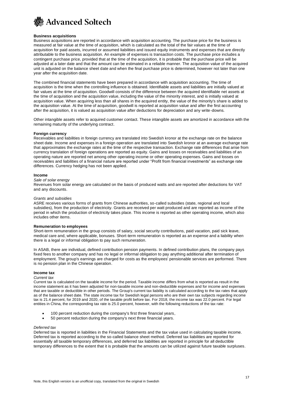

#### **Business acquisitions**

Business acquisitions are reported in accordance with acquisition accounting. The purchase price for the business is measured at fair value at the time of acquisition, which is calculated as the total of the fair values at the time of acquisition for paid assets, incurred or assumed liabilities and issued equity instruments and expenses that are directly attributable to the business acquisition. An example of expenses is transaction costs. The purchase price includes a contingent purchase price, provided that at the time of the acquisition, it is probable that the purchase price will be adjusted at a later date and that the amount can be estimated in a reliable manner. The acquisition value of the acquired unit is adjusted on the balance sheet date and when the final purchase price is determined, however not later than one year after the acquisition date.

The combined financial statements have been prepared in accordance with acquisition accounting. The time of acquisition is the time when the controlling influence is obtained. Identifiable assets and liabilities are initially valued at fair values at the time of acquisition. Goodwill consists of the difference between the acquired identifiable net assets at the time of acquisition and the acquisition value, including the value of the minority interest, and is initially valued at acquisition value. When acquiring less than all shares in the acquired entity, the value of the minority's share is added to the acquisition value. At the time of acquisition, goodwill is reported at acquisition value and after the first accounting after the acquisition, it is valued as acquisition value after deductions for depreciation and any write-downs.

Other intangible assets refer to acquired customer contact. These intangible assets are amortized in accordance with the remaining maturity of the underlying contract.

#### **Foreign currency**

Receivables and liabilities in foreign currency are translated into Swedish kronor at the exchange rate on the balance sheet date. Income and expenses in a foreign operation are translated into Swedish kronor at an average exchange rate that approximates the exchange rates at the time of the respective transaction. Exchange rate differences that arise from currency translation of foreign operations are reported as equity. Gains and losses on receivables and liabilities of an operating nature are reported net among other operating income or other operating expenses. Gains and losses on receivables and liabilities of a financial nature are reported under "Profit from financial investments" as exchange rate differences. Currency hedging has not been applied.

#### **Income**

#### *Sale of solar energy*

Revenues from solar energy are calculated on the basis of produced watts and are reported after deductions for VAT and any discounts.

#### *Grants and subsidies*

ASRE receives various forms of grants from Chinese authorities, so-called subsidies (state, regional and local subsidies), from the production of electricity. Grants are received per watt produced and are reported as income of the period in which the production of electricity takes place. This income is reported as other operating income, which also includes other items.

#### **Remuneration to employees**

Short-term remuneration in the group consists of salary, social security contributions, paid vacation, paid sick leave, medical care and, where applicable, bonuses. Short-term remuneration is reported as an expense and a liability when there is a legal or informal obligation to pay such remuneration.

In ASAB, there are individual, defined contribution pension payments. In defined contribution plans, the company pays fixed fees to another company and has no legal or informal obligation to pay anything additional after termination of employment. The group's earnings are charged for costs as the employees' pensionable services are performed. There is no pension plan in the Chinese operation.

#### **Income tax**

#### *Current tax*

Current tax is calculated on the taxable income for the period. Taxable income differs from what is reported as result in the income statement as it has been adjusted for non-taxable income and non-deductible expenses and for income and expenses that are taxable or deductible in other periods. The Group's current tax liability is calculated according to the tax rates that apply as of the balance sheet date. The state income tax for Swedish legal persons who are their own tax subjects regarding income tax is 21.4 percent, for 2019 and 2020, of the taxable profit before tax. For 2018, the income tax was 22.0 percent. For legal entities in China, the corresponding tax rate is 25.0 percent, however, with the following reductions of the tax rate:

- 100 percent reduction during the company's first three financial years,
- 50 percent reduction during the company's next three financial years.

#### *Deferred tax*

Deferred tax is reported in liabilities in the Financial Statements and the tax value used in calculating taxable income. Deferred tax is reported according to the so-called balance sheet method. Deferred tax liabilities are reported for essentially all taxable temporary differences, and deferred tax liabilities are reported in principle for all deductible temporary differences to the extent that it is probable that the amounts can be utilized against future taxable surpluses.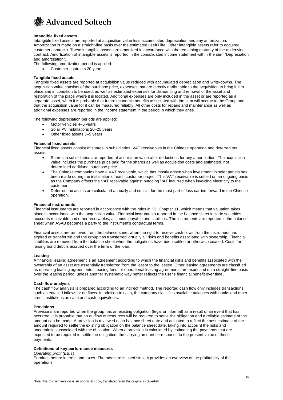

#### **Intangible fixed assets**

Intangible fixed assets are reported at acquisition value less accumulated depreciation and any amortization. Amortization is made on a straight-line basis over the estimated useful life. Other intangible assets refer to acquired customer contracts. These intangible assets are amortized in accordance with the remaining maturity of the underlying contract. Amortization of intangible assets is reported in the consolidated income statement within the item "Depreciation and amortization".

The following amortization period is applied:

• Customer contracts 20 years

#### **Tangible fixed assets**

Tangible fixed assets are reported at acquisition value reduced with accumulated depreciation and write-downs. The acquisition value consists of the purchase price, expenses that are directly attributable to the acquisition to bring it into place and in condition to be used, as well as estimated expenses for dismantling and removal of the asset and restoration of the place where it is located. Additional expenses are only included in the asset or are reported as a separate asset, when it is probable that future economic benefits associated with the item will accrue to the Group and that the acquisition value for it can be measured reliably. All other costs for repairs and maintenance as well as additional expenses are reported in the income statement in the period in which they arise.

The following depreciation periods are applied:

- Motor vehicles 4-5 years
- Solar PV installations 20-25 years
- Other fixed assets 3-5 years

#### **Financial fixed assets**

Financial fixed assets consist of shares in subsidiaries, VAT receivables in the Chinese operation and deferred tax assets.

- Shares in subsidiaries are reported at acquisition value after deductions for any amortization. The acquisition value includes the purchase price paid for the shares as well as acquisition costs and estimated, not determined additional purchase price.
- The Chinese companies have a VAT receivable, which has mostly arisen when investment in solar panels has been made during the installation of each customer project. This VAT receivable is settled on an ongoing basis as the Company offsets the VAT receivable against outgoing VAT incurred when invoicing electricity to the customer.
- Deferred tax assets are calculated annually and consist for the most part of loss carried forward in the Chinese operation.

#### **Financial instruments**

Financial instruments are reported in accordance with the rules in K3, Chapter 11, which means that valuation takes place in accordance with the acquisition value. Financial instruments reported in the balance sheet include securities, accounts receivable and other receivables, accounts payable and liabilities. The instruments are reported in the balance sheet when ASAB becomes a party to the instrument's contractual terms.

Financial assets are removed from the balance sheet when the right to receive cash flows from the instrument has expired or transferred and the group has transferred virtually all risks and benefits associated with ownership. Financial liabilities are removed from the balance sheet when the obligations have been settled or otherwise ceased. Costs for raising bond debt is accrued over the term of the loan.

#### **Leasing**

A financial leasing agreement is an agreement according to which the financial risks and benefits associated with the ownership of an asset are essentially transferred from the lessor to the lessee. Other leasing agreements are classified as operating leasing agreements. Leasing fees for operational leasing agreements are expensed on a straight-line basis over the leasing period, unless another systematic way better reflects the user's financial benefit over time.

#### **Cash flow analysis**

The cash flow analysis is prepared according to an indirect method. The reported cash flow only includes transactions such as entailed inflows or outflows. In addition to cash, the company classifies available balances with banks and other credit institutions as cash and cash equivalents.

#### **Provisions**

Provisions are reported when the group has an existing obligation (legal or informal) as a result of an event that has occurred, it is probable that an outflow of resources will be required to settle the obligation and a reliable estimate of the amount can be made. A provision is reviewed each balance sheet date and adjusted to reflect the best estimate of the amount required to settle the existing obligation on the balance sheet date, taking into account the risks and uncertainties associated with the obligation. When a provision is calculated by estimating the payments that are expected to be required to settle the obligation, the carrying amount corresponds to the present value of these payments.

### **Definitions of key performance measures**

*Operating profit (EBIT)*

Earnings before interest and taxes. The measure is used since it provides an overview of the profitability of the operations.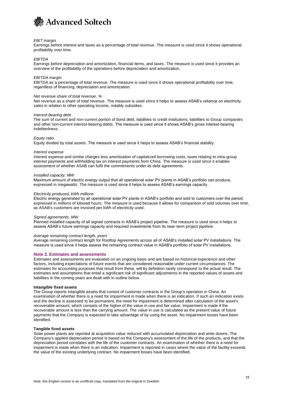

#### *EBIT margin*

Earnings before interest and taxes as a percentage of total revenue. The measure is used since it shows operational profitability over time.

#### *EBITDA*

Earnings before depreciation and amortization, financial items, and taxes. The measure is used since it provides an overview of the profitability of the operations before depreciation and amortization.

#### *EBITDA margin*

EBITDA as a percentage of total revenue. The measure is used since it shows operational profitability over time, regardless of financing, depreciation and amortization.

#### *Net revenue share of total revenue, %*

Net revenue as a share of total revenue. The measure is used since it helps to assess ASAB's reliance on electricity sales in relation to other operating income, notably subsidies.

#### *Interest-bearing debt*

The sum of current and non-current portion of bond debt, liabilities to credit institutions, liabilities to Group companies and other non-current interest-bearing debts. The measure is used since it shows ASAB's gross interest-bearing indebtedness.

#### *Equity ratio*

Equity divided by total assets. The measure is used since it helps to assess ASAB's financial stability.

#### *Interest expense*

Interest expense and similar charges less amortization of capitalized borrowing costs, taxes relating to intra-group interest payments and withholding tax on interest payments from China. The measure is used since it enables assessment of whether ASAB can fulfil the commitments under its debt agreements.

#### *Installed capacity, MW*

Maximum amount of electric energy output that all operational solar PV plants in ASAB's portfolio can produce, expressed in megawatts. The measure is used since it helps to assess ASAB's earnings capacity.

#### *Electricity produced, kWh millions*

Electric energy generated by all operational solar PV plants in ASAB's portfolio and sold to customers over the period, expressed in millions of kilowatt hours. The measure is used because it allows for comparison of sold volumes over time, as ASAB's customers are invoiced per kWh of electricity used.

#### *Signed agreements, MW*

Planned installed capacity of all signed contracts in ASAB's project pipeline. The measure is used since it helps to assess ASAB's future earnings capacity and required investments from its near-term project pipeline.

#### *Average remaining contract length, years*

Average remaining contract length for Rooftop Agreements across all of ASAB's installed solar PV installations. The measure is used since it helps assess the remaining contract value in ASAB's portfolio of solar PV installations.

#### **Note 2. Estimates and assessments**

Estimates and assessments are evaluated on an ongoing basis and are based on historical experience and other factors, including expectations of future events that are considered reasonable under current circumstances. The estimates for accounting purposes that result from these, will by definition rarely correspond to the actual result. The estimates and assumptions that entail a significant risk of significant adjustments in the reported values of assets and liabilities in the coming years are dealt with in outline below.

#### **Intangible fixed assets**

The Group reports intangible assets that consist of customer contracts in the Group's operation in China. An examination of whether there is a need for impairment is made when there is an indication. If such an indication exists and the decline is assessed to be permanent, the need for impairment is determined after calculation of the asset's recoverable amount, which consists of the higher of the value in use and fair value. Impairment is made if the recoverable amount is less than the carrying amount. The value in use is calculated as the present value of future payments that the Company is expected to take advantage of by using the asset. No impairment losses have been identified.

#### **Tangible fixed assets**

Solar power plants are reported at acquisition value reduced with accumulated depreciation and write-downs. The Company's applied depreciation period is based on the Company's assessment of the life of the products, and that the depreciation period correlates with the life of the customer contracts. An examination of whether there is a need for impairment is made when there is an indication. Impairment is reported in cases where the value of the facility exceeds the value of the existing underlying contract. No impairment losses have been identified.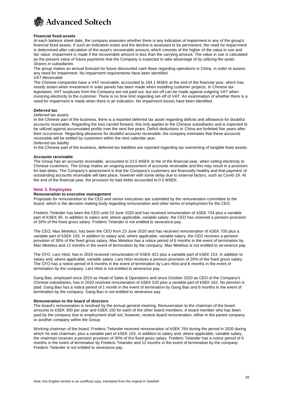

#### **Financial fixed assets**

At each balance sheet date, the company assesses whether there is any indication of impairment in any of the group's financial fixed assets. If such an indication exists and the decline is assessed to be permanent, the need for impairment is determined after calculation of the asset's recoverable amount, which consists of the higher of the value in use and fair value. Impairment is made if the recoverable amount is less than the carrying amount. The value in use is calculated as the present value of future payments that the Company is expected to take advantage of by utilizing the asset. *Shares in subsidiaries*

The group makes an annual forecast for future discounted cash flows regarding operations in China, in order to assess any need for impairment. No impairment requirements have been identified.

*VAT Receivable*

The Chinese companies have a VAT receivable, accounted to 104.1 MSEK at the end of the financial year, which has mostly arisen when investment in solar panels has been made when installing customer projects. In Chinese tax legislation, VAT surpluses from the Company are not paid out, but set-off can be made against outgoing VAT when invoicing electricity to the customer. There is no time limit regarding set-off of VAT. An examination of whether there is a need for impairment is made when there is an indication. No impairment losses have been identified.

#### **Deferred tax**

#### *Deferred tax assets*

In the Chinese part of the business, there is a reported deferred tax asset regarding deficits and allowance for doubtful accounts receivable. Regarding the loss carried forward, this only applies to the Chinese subsidiaries and is expected to be utilized against accumulated profits over the next five years. Deficit deductions in China are forfeited five years after their occurrence. Regarding allowance for doubtful accounts receivable, the company estimates that these accounts receivable will be settled by customers within the next calendar year. *Deferred tax liability*

In the Chinese part of the business, deferred tax liabilities are reported regarding tax overwriting of tangible fixed assets.

#### **Accounts receivable**

The Group has an accounts receivable, accounted to 23.5 MSEK at the of the financial year, when selling electricity to Chinese customers. The Group makes an ongoing assessment of accounts receivable and this may result in a provision for bad debts. The Company's assessment is that the Company's customers are financially healthy and that payment of outstanding accounts receivable will take place, however with some delay due to external factors, such as Covid-19. At the end of the financial year, the provision for bad debts accounted to 0.5 MSEK.

#### **Note 3. Employees**

#### **Remuneration to executive management**

Proposals for remuneration to the CEO and senior executives are submitted by the remuneration committee to the board, which is the decision-making body regarding remuneration and other terms of employment for the CEO.

Frederic Telander has been the CEO until 23 June 2020 and has received remuneration of kSEK 704 plus a variable part of KSEK 95. In addition to salary and, where applicable, variable salary, the CEO has received a pension provision of 30% of the fixed gross salary. Frederic Telander is not entitled to severance pay.

The CEO, Max Metelius, has been the CEO from 23 June 2020 and has received remuneration of kSEK 700 plus a variable part of kSEK 103. In addition to salary and, where applicable, variable salary, the CEO receives a pension provision of 30% of the fixed gross salary. Max Metelius has a notice period of 6 months in the event of termination by Max Metelius and 12 months in the event of termination by the company. Max Metelius is not entitled to severance pay.

The CFO, Lars Höst, has in 2020 received remuneration of KSEK 422 plus a variable part of kSEK 153. In addition to salary and, where applicable, variable salary, Lars Höst receives a pension provision of 20% of the fixed gross salary. The CFO has a notice period of 6 months in the event of termination by Lars Höst and 6 months in the event of termination by the company. Lars Höst is not entitled to severance pay.

Gang Bao, employed since 2015 as Head of Sales & Operations and since October 2020 as CEO of the Company's Chinese subsidiaries, has in 2020 received remuneration of kSEK 520 plus a variable part of kSEK 162. No pension is paid. Gang Bao has a notice period of 1 month in the event of termination by Gang Bao and 6 months in the event of termination by the company. Gang Bao is not entitled to severance pay.

#### **Remuneration to the board of directors**

The board's remuneration is resolved by the annual general meeting. Remuneration to the chairman of the board amounts to kSEK 300 per year and kSEK 150 for each of the other board members. A board member who has been paid by the company due to employment shall not, however, receive board remuneration, either in the parent company or another company within the Group.

Working chairman of the board, Frederic Telander received remuneration of kSEK 764 during the period in 2020 during which he was chairman, plus a variable part of kSEK 103. In addition to salary and, where applicable, variable salary, the chairman receives a pension provision of 30% of the fixed gross salary. Frederic Telander has a notice period of 6 months in the event of termination by Frederic Telander and 12 months in the event of termination by the company. Frederic Telander is not entitled to severance pay.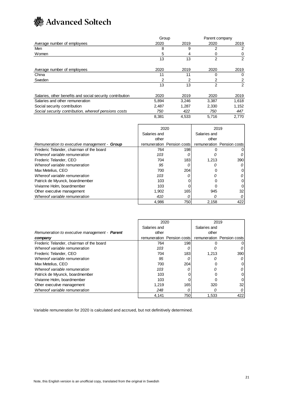

|                                                           | Group |       |                                                  |       |
|-----------------------------------------------------------|-------|-------|--------------------------------------------------|-------|
| Average number of employees                               | 2020  | 2019  | 2020                                             | 2019  |
| Men                                                       | 8     | 9     | 2                                                | 2     |
| Women                                                     | 5     | 4     | 0                                                | 0     |
|                                                           | 13    | 13    | $\overline{2}$                                   | 2     |
| Average number of employees                               | 2020  | 2019  | 2020                                             | 2019  |
| China                                                     | 11    | 11    | 0                                                | 0     |
| Sweden                                                    | 2     | 2     | 2<br>2<br>2020<br>3,387<br>2,330<br>750<br>5,716 | 2     |
|                                                           | 13    | 13    |                                                  | 2     |
| Salaries, other benefits and social security contribution | 2020  | 2019  |                                                  | 2019  |
| Salaries and other remuneration                           | 5,894 | 3,246 |                                                  | 1,618 |
| Social security contribution                              | 2.487 | 1.287 |                                                  | 1,152 |
| Social security contribution, whereof pensions costs      | 750   | 422   | Parent company                                   | 447   |
|                                                           | 8,381 | 4,533 |                                                  | 2.770 |

|                                              | 2020         |                            | 2019         |                            |
|----------------------------------------------|--------------|----------------------------|--------------|----------------------------|
|                                              | Salaries and |                            | Salaries and |                            |
|                                              | other        |                            | other        |                            |
| Remuneration to executive management - Group |              | remuneration Pension costs |              | remuneration Pension costs |
| Frederic Telander, chairman of the board     | 764          | 198                        |              |                            |
| Whereof variable remuneration                | 103          |                            |              |                            |
| Frederic Telander, CEO                       | 704          | 183                        | 1,213        | 390                        |
| Whereof variable remuneration                | 95           |                            |              |                            |
| Max Metelius, CEO                            | 700          | 204                        |              |                            |
| Whereof variable remuneration                | 103          |                            |              | Ω                          |
| Patrick de Myunck, boardmember               | 103          |                            |              | 0                          |
| Vivianne Holm, boardmember                   | 103          |                            |              | 0                          |
| Other executive management                   | 1,902        | 165                        | 945          | 32                         |
| Whereof variable remuneration                | 410          |                            | Ω            |                            |
|                                              | 4.986        | 750                        | 2,158        | 422                        |

|                                                      | 2020         |                            | 2019         |                            |
|------------------------------------------------------|--------------|----------------------------|--------------|----------------------------|
|                                                      | Salaries and |                            | Salaries and |                            |
| Remuneration to executive management - <b>Parent</b> | other        |                            | other        |                            |
| company                                              |              | remuneration Pension costs |              | remuneration Pension costs |
| Frederic Telander, chairman of the board             | 764          | 198                        |              |                            |
| Whereof variable remuneration                        | 103          |                            |              |                            |
| Frederic Telander, CEO                               | 704          | 183                        | 1.213        | 390                        |
| Whereof variable remuneration                        | 95           |                            | n            |                            |
| Max Metelius, CEO                                    | 700          | 204                        |              |                            |
| Whereof variable remuneration                        | 103          |                            |              |                            |
| Patrick de Myunck, boardmember                       | 103          |                            |              |                            |
| Vivianne Holm, boardmember                           | 103          |                            |              |                            |
| Other executive management                           | 1,219        | 165                        | 320          | 32                         |
| Whereof variable remuneration                        | 248          |                            | 0            |                            |
|                                                      | 4.141        | 750                        | 1,533        | 422                        |

Variable remuneration for 2020 is calculated and accrued, but not definitively determined.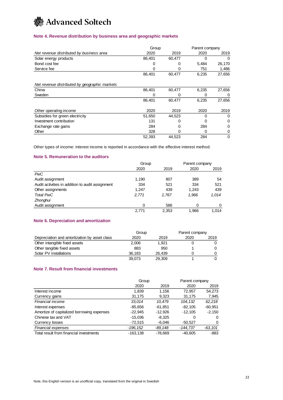

### **Note 4. Revenue distribution by business area and geographic markets**

|                                               | Group  |        | Parent company |          |
|-----------------------------------------------|--------|--------|----------------|----------|
| Net revenue distributed by business area      | 2020   | 2019   | 2020           | 2019     |
| Solar energy products                         | 86,401 | 60,477 | 0              | $\Omega$ |
| Bond cost fee                                 |        | 0      | 5,484          | 26,170   |
| Service fee                                   | 0      | Ω      | 751            | 1,486    |
|                                               | 86,401 | 60,477 | 6,235          | 27,656   |
| Net revenue distributed by geographic markets |        |        |                |          |
| China                                         | 86,401 | 60,477 | 6,235          | 27,656   |
| Sweden                                        | 0      | 0      | 0              | 0        |
|                                               | 86,401 | 60,477 | 6,235          | 27,656   |
| Other operating income                        | 2020   | 2019   | 2020           | 2019     |
| Subsidies for green electricity               | 51,650 | 44,523 | 0              | $\Omega$ |
| Investment contribution                       | 131    |        |                | $\Omega$ |
| Exchange rate gains                           | 284    |        | 284            | ∩        |
| Other                                         | 328    | O      | 0              | 0        |
|                                               | 52,393 | 44.523 | 284            | 0        |

Other types of income: interest income is reported in accordance with the effective interest method.

## **Note 5. Remuneration to the auditors**

|                                                  | Group |       | Parent company |       |
|--------------------------------------------------|-------|-------|----------------|-------|
|                                                  | 2020  | 2019  | 2020           | 2019  |
| <b>PwC</b>                                       |       |       |                |       |
| Audit assignment                                 | 1.190 | 807   | 389            | 54    |
| Audit activities in addition to audit assignment | 334   | 521   | 334            | 521   |
| Other assignments                                | 1,247 | 439   | 1,243          | 439   |
| <b>Total PwC</b>                                 | 2.771 | 1.767 | 1.966          | 1.014 |
| Zhonghui                                         |       |       |                |       |
| Audit assignment                                 | 0     | 586   | 0              | 0     |
|                                                  | 2.771 | 2,353 | 1.966          | 1.014 |

## **Note 6. Depreciation and amortization**

|                                              | Group  |        | Parent company |      |
|----------------------------------------------|--------|--------|----------------|------|
| Depreciation and amortization by asset class | 2020   | 2019   | 2020           | 2019 |
| Other intangible fixed assets                | 2.006  | 1.921  |                |      |
| Other tangible fixed assets                  | 883    | 950    |                | 0    |
| Solar PV installations                       | 36.183 | 26.439 |                |      |
|                                              | 39,073 | 29,309 |                |      |

#### **Note 7. Result from financial investments**

|                                            | Group       |           | Parent company |           |
|--------------------------------------------|-------------|-----------|----------------|-----------|
|                                            | 2020        | 2019      | 2020           | 2019      |
| Interest income                            | 1,839       | 1,156     | 72,957         | 54,273    |
| Currency gains                             | 31,175      | 9,323     | 31,175         | 7,945     |
| Financial income                           | 33,014      | 10,479    | 104, 132       | 62,218    |
| Interest expenses                          | $-85,656$   | $-61,851$ | $-82,105$      | $-60,951$ |
| Amortize of capitalized borrowing expenses | $-22.945$   | $-12.926$ | $-12.105$      | $-2.150$  |
| Chinese tax and VAT                        | $-15,036$   | $-8,325$  | 0              | 0         |
| Currency losses                            | $-72,515$   | $-6,046$  | $-50,527$      | 0         |
| Financial expenses                         | -196, 152   | -89.148   | -144,737       | -63,101   |
| Total result from financial investments    | $-163, 138$ | -78.669   | $-40.605$      | $-883$    |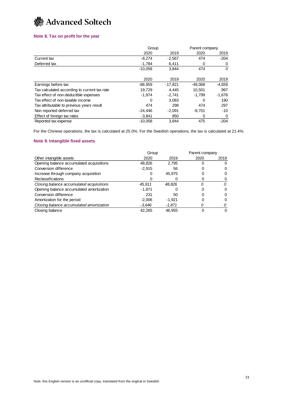## **k** Advanced Soltech

### **Note 8. Tax on profit for the year**

|                                              | Group     |           | Parent company |          |
|----------------------------------------------|-----------|-----------|----------------|----------|
|                                              | 2020      | 2019      | 2020           | 2019     |
| Current tax                                  | $-8,274$  | $-2,567$  | 474            | $-204$   |
| Deferred tax                                 | $-1,784$  | 6,411     | 0              | 0        |
|                                              | $-10.058$ | 3,844     | 474            | $\Omega$ |
|                                              | 2020      | 2019      | 2020           | 2019     |
| Earnings before tax                          | $-86,959$ | $-17.821$ | $-49,068$      | $-4,659$ |
| Tax calculated according to current tax rate | 19,729    | 4,445     | 10,501         | 997      |
| Tax effect of non-deductible expenses        | $-1,974$  | $-2,741$  | $-1,799$       | $-1,678$ |
| Tax effect of non-taxable income             | 0         | 3,083     | 0              | 190      |
| Tax attributable to previous years result    | 474       | 298       | 474            | 297      |
| Non reported deferred tax                    | $-24.446$ | $-2.091$  | $-8,701$       | $-10$    |
| Effect of foreign tax rates                  | $-3.841$  | 850       | 0              | 0        |
| Reported tax expense                         | $-10.058$ | 3.844     | 475            | $-204$   |

For the Chinese operations, the tax is calculated at 25.0%. For the Swedish operations, the tax is calculated at 21.4%.

### **Note 9. Intangible fixed assets**

|                                          | Group    |          | Parent company |      |
|------------------------------------------|----------|----------|----------------|------|
| Other intangible assets                  | 2020     | 2019     | 2020           | 2019 |
| Opening balance accumulated acquisitions | 48,826   | 2,795    |                | 0    |
| Conversion difference                    | $-2,915$ | 56       |                | 0    |
| Increase through company acquisition     | O        | 45,975   |                | 0    |
| Reclassifications                        |          |          |                |      |
| Closing balance accumulated acquisitions | 45.911   | 48.826   |                | 0    |
| Opening balance accumulated amortization | $-1.871$ |          |                | 0    |
| Conversion difference                    | 231      | 50       |                | 0    |
| Amortization for the period              | $-2.006$ | -1.921   |                |      |
| Closing balance accumulated amortization | -3.646   | $-1.871$ |                |      |
| Closing balance                          | 42.265   | 46.955   |                | 0    |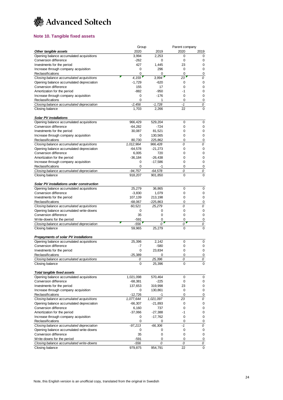## **.** Advanced Soltech

### **Note 10. Tangible fixed assets**

|                                                                                   | Group     |           | Parent company |      |
|-----------------------------------------------------------------------------------|-----------|-----------|----------------|------|
| Other tangible assets                                                             | 2020      | 2019      | 2020           | 2019 |
| Opening balance accumulated acquisitions                                          | 3,994     | 2.253     | 0              | 0    |
| Conversion difference                                                             | $-262$    | 0         | 0              | 0    |
| Investments for the period                                                        | 427       | 1,445     | 23             | 0    |
| Increase through company acquisition                                              | 0         | 296       | 0              | 0    |
| Reclassifications                                                                 | 0         | 0         | 0              | 0    |
| Closing balance accumulated acquisitions                                          | 4.159     | 3.994     | 23             | 0    |
| Opening balance accumulated depreciation                                          | $-1,729$  | $-620$    | 0              | 0    |
| Conversion difference                                                             | 155       | 17        | 0              | 0    |
| Amortization for the period                                                       | $-882$    | $-950$    | -1             | 0    |
| Increase through company acquisition                                              | 0         | $-176$    | 0              | 0    |
| Reclassifications                                                                 | 0         | 1         | 0              | 0    |
| Closing balance accumulated depreciation                                          | $-2,456$  | $-1.728$  | $-1$           | 0    |
| Closing balance                                                                   | 1,703     | 2,266     | 22             | 0    |
|                                                                                   |           |           |                |      |
| <b>Solar PV installations</b>                                                     |           |           |                |      |
| Opening balance accumulated acquisitions                                          | 966,429   | 529,204   | 0              | 0    |
| Conversion difference                                                             | $-64,282$ | $-724$    | 0              | 0    |
| Investments for the period                                                        | 30,087    | 81,521    | 0              | 0    |
| Increase through company acquisition                                              | 0         | 130,565   | 0              | 0    |
| Reclassifications                                                                 | 80,730    | 225,862   | 0              | 0    |
| Closing balance accumulated acquisitions                                          | 1,012,964 | 966,428   | 0              | 0    |
| Opening balance accumulated depreciation                                          | $-64,578$ | $-21,273$ | 0              | 0    |
| Conversion difference                                                             | 6,005     | 720       | 0              | 0    |
| Amortization for the period                                                       | $-36,184$ | $-26,438$ | 0              | 0    |
| Increase through company acquisition                                              | 0         | $-17,586$ | 0              | 0    |
| Reclassifications                                                                 | 0         | $-1$      | 0              | 0    |
|                                                                                   | $-94,757$ | $-64,578$ | 0              | 0    |
| Closing balance accumulated depreciation                                          |           |           | 0              | 0    |
| Closing balance                                                                   | 918,207   | 901,850   |                |      |
| Solar PV installations under construction                                         |           |           |                |      |
| Opening balance accumulated acquisitions                                          | 25,279    | 36,865    | 0              | 0    |
| Conversion difference                                                             | $-3,830$  |           | 0              | 0    |
|                                                                                   |           | 1,079     |                |      |
| Investments for the period                                                        | 107,139   | 213,198   | 0              | 0    |
| Reclassifications                                                                 | $-68,067$ | -225,863  | 0              | 0    |
| Closing balance accumulated acquisitions                                          | 60,521    | 25,279    | 0              | 0    |
| Opening balance accumulated write-downs                                           | 0         | 0         | 0              | 0    |
| Conversion difference                                                             | 35        | 0         | 0              | 0    |
| Write-downs for the period                                                        | -591      | 0         | 0              | 0    |
| Closing balance accumulated depreciation                                          | $-556$    | $\Omega$  | 0              | 0    |
| Closing balance                                                                   | 59,965    | 25,279    | 0              | 0    |
|                                                                                   |           |           |                |      |
| Prepayments of solar PV installations<br>Opening balance accumulated acquisitions | 25,396    | 2,142     | 0              | 0    |
| Conversion difference                                                             |           |           |                |      |
|                                                                                   | -7        | $-580$    | 0              | 0    |
| Investments for the period                                                        | 0         | 23,834    | 0              | 0    |
| Reclassifications                                                                 | $-25,389$ | 0         | 0              | 0    |
| Closing balance accumulated acquisitions                                          |           | 25,396    |                |      |
| Closing balance                                                                   | 0         | 25,396    | 0              | 0    |
|                                                                                   |           |           |                |      |
| Total tangible fixed assets                                                       |           |           |                |      |
| Opening balance accumulated acquisitions                                          | 1,021,098 | 570,464   | 0              | 0    |
| Conversion difference                                                             | $-68,381$ | $-225$    | 0              | 0    |
| Investments for the period                                                        | 137,653   | 319,998   | 23             | 0    |
| Increase through company acquisition                                              | 0         | 130,861   | 0              | 0    |
| Reclassifications                                                                 | $-12,726$ | $-1$      | 0              | 0    |
| Closing balance accumulated acquisitions                                          | 1,077,644 | 1,021,097 | 23             | 0    |
| Opening balance accumulated depreciation                                          | $-66,307$ | $-21,893$ | 0              | 0    |
| Conversion difference                                                             | 6,160     | 737       | 0              | 0    |
| Amortization for the period                                                       | -37,066   | $-27,388$ | -1             | 0    |
| Increase through company acquisition                                              | 0         | $-17,762$ | 0              | 0    |
| Reclassifications                                                                 | 0         | 0         | 0              | 0    |
| Closing balance accumulated depreciation                                          | $-97,213$ | $-66,306$ | $-1$           | 0    |
| Opening balance accumulated write-downs                                           | 0         | 0         | 0              | 0    |
| Conversion difference                                                             | 35        | 0         | 0              | 0    |
| Write-downs for the period                                                        | $-591$    | 0         | 0              | 0    |
| Closing balance accumulated write-downs                                           | $-556$    | 0         | 0              | 0    |
| Closing balance                                                                   | 979,875   | 954,791   | 22             | 0    |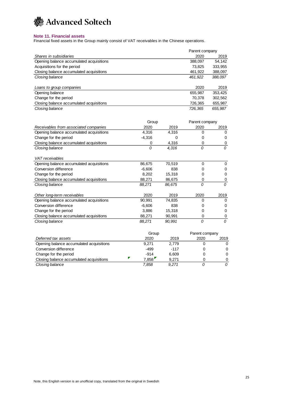## **k** Advanced Soltech

#### **Note 11. Financial assets**

*Closing balance 7,858 9,271 0 0*

Financial fixed assets in the Group mainly consist of VAT receivables in the Chinese operations.

|                                          |          |        | Parent company |                |
|------------------------------------------|----------|--------|----------------|----------------|
| Shares in subsidiaries                   |          |        | 2020           | 2019           |
| Opening balance accumulated acquisitions |          |        | 388,097        | 54,142         |
| Acquisitions for the period              |          |        | 73,825         | 333,955        |
| Closing balance accumulated acquisitions |          |        | 461,922        | 388,097        |
| Closing balance                          |          |        | 461,922        | 388,097        |
| Loans to group companies                 |          |        | 2020           | 2019           |
| Opening balance                          |          |        | 655,987        | 353,425        |
| Change for the period                    |          |        | 70,378         | 302,562        |
| Closing balance accumulated acquisitions |          |        | 726,365        | 655,987        |
| Closing balance                          |          |        | 726,365        | 655,987        |
|                                          | Group    |        | Parent company |                |
| Receivables from associated companies    | 2020     | 2019   | 2020           | 2019           |
| Opening balance accumulated acquisitions | 4,316    | 4,316  | 0              | 0              |
| Change for the period                    | $-4,316$ | 0      | 0              | $\mathbf 0$    |
| Closing balance accumulated acquisitions | 0        | 4,316  | 0              | $\pmb{0}$      |
| Closing balance                          | 0        | 4.316  | $\Omega$       | $\overline{o}$ |
| VAT receivables                          |          |        |                |                |
| Opening balance accumulated acquisitions | 86,675   | 70,519 | 0              | 0              |
| Conversion difference                    | $-6,606$ | 838    | 0              | 0              |
| Change for the period                    | 8,202    | 15,318 | 0              | $\pmb{0}$      |
| Closing balance accumulated acquisitions | 88,271   | 86,675 | 0              | 0              |
| Closing balance                          | 88,271   | 86,675 | O              | 0              |
| Other long-term receivables              | 2020     | 2019   | 2020           | 2019           |
| Opening balance accumulated acquisitions | 90,991   | 74,835 | 0              | 0              |
| Conversion difference                    | $-6,606$ | 838    | 0              | $\pmb{0}$      |
| Change for the period                    | 3,886    | 15,318 | 0              | 0              |
| Closing balance accumulated acquisitions | 88,271   | 90,991 | $\mathbf 0$    | $\pmb{0}$      |
| Closing balance                          | 88,271   | 90,991 | 0              | $\Omega$       |
|                                          | Group    |        | Parent company |                |
| Deferred tax assets                      | 2020     | 2019   | 2020           | 2019           |
| Opening balance accumulated acquisitions | 9.271    | 2,779  | 0              | 0              |
| Conversion difference                    | $-499$   | $-117$ | 0              | 0              |
| Change for the period                    | $-914$   | 6,609  | 0              | $\mathbf 0$    |
| Closing balance accumulated acquisitions | 7.858    | 9.271  | 0              | $\overline{0}$ |

Closing balance accumulated acquisitions<br>
Closing balance<br>  $\begin{array}{ccc} 7,858 & 9,271 & 0 & 0\\ 7,858 & 9,271 & 0 & 0 \end{array}$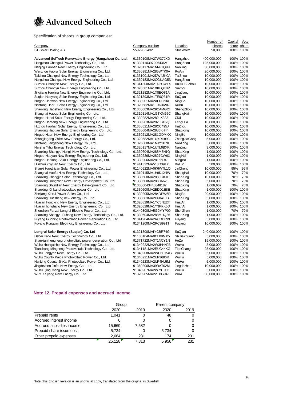

Specification of shares in group companies:

|                                                          |                    |              | Number of   | Capital Vote |             |
|----------------------------------------------------------|--------------------|--------------|-------------|--------------|-------------|
| Company                                                  | Company number     | Location     | shares      |              | share share |
| ST-Solar Holding AB                                      | 559228-9432        | Stockholm    | 50,000      | 100% 100%    |             |
|                                                          |                    |              |             |              |             |
| Advanced SolTech Renewable Energy (Hangzhou) Co. Ltd.    | 91330100MA27W37JXD | Hangzhou     | 400,000,000 | 100% 100%    |             |
| Hangzhou Chengrui Power Technology Co., Ltd.             | 91330110397206436M | HangZhou     | 125,000,000 | 100% 100%    |             |
| Nanjing Haonan New Energy Engineering Co., Ltd.          | 91320117MA1NN6TQ9R | NanJing      | 30,000,000  | 100% 100%    |             |
| Wenzhou Haorui Solar Energy Engineering Co., Ltd.        | 91330381MA285WTK0A | RuiAn        | 20,000,000  | 100% 100%    |             |
| Taizhou Changrui New Energy Technology Co., Ltd.         | 91331001MA2DW43K0A | TaiZhou      | 10,000,000  | 100% 100%    |             |
| Hangzhou Changxu New Energy Engineering Co., Ltd.        | 91330183MA2CGUAG5N | HangZhou     | 10,000,000  | 100% 100%    |             |
| Suzhou Changhe New Energy Co., Ltd.                      | 91341300MA2TD2CW1X | AnHui SuZhou | 10,000,000  | 100% 100%    |             |
| Suzhou Changyu New Energy Engineering Co., Ltd.          | 91320581MA1XKLQT8P | SuZhou       | 10,000,000  | 100% 100%    |             |
| Jingjiang Haojing New Energy Engineering Co., Ltd.       | 91321282MA1X8EQ81A | JingJiang    | 10,000,000  | 100% 100%    |             |
| Sugian Haoyang Solar Energy Engineering Co., Ltd.        | 91321393MA1TE0Q31R | SuQian       | 10,000,000  | 100% 100%    |             |
| Ningbo Haowan New Energy Engineering Co., Ltd.           | 91330201MA2AFUL23A | NingBo       | 10,000,000  | 100% 100%    |             |
| Nantong Haoru Solar Energy Engineering Co., Ltd.         | 91320682MA1T9K3R9R | <b>RuBu</b>  | 10,000,000  | 100% 100%    |             |
| Shaoxing Haosheng New Energy Engineering Co., Ltd.       | 91330683MA29CAMG24 | ShengZhou    | 10,000,000  | 100% 100%    |             |
| Shanghai Haoqu Solar Engineering Co., Ltd.               | 91310114MA1GTKM65C | ShangHai     | 10,000,000  | 100% 100%    |             |
| Ningbo Haoci Solar Energy Engineering Co., Ltd.          | 91330282MA282LK383 | CiXi         | 10,000,000  | 100% 100%    |             |
| Ningbo Haofeng New Energy Engineering Co., Ltd.          | 91330283MA282LBX6Q | FengHua      | 10,000,000  | 100% 100%    |             |
| Huzhou Haohan Solar Energy Engineering Co., Ltd.         | 91330521MA28CC495J | HuZhou       | 10,000,000  | 100% 100%    |             |
| Shaoxing Haotian Solar Energy Engineering Co., Ltd.      | 91330604MA2886KH44 | ShaoXing     | 10,000,000  | 100% 100%    |             |
| Ningbo Haori New Energy Engineering Co., Ltd.            | 91330212MA281GDMXK | NingBo       | 10,000,000  | 100% 100%    |             |
| Zhangjiagang Zhihe New Energy Co., Ltd.                  | 91320582MA1UYRH893 | ZhangJiaGang | 5,000,000   | 100% 100%    |             |
| Nantong Langsheng New Energy Co., Ltd.                   | 91320600MA1NJY1P78 | NanTong      | 5,000,000   | 100% 100%    |             |
| Nanjing Yihui Energy Technology Co., Ltd.                | 91320117MA1UTL6BXR | NanJing      | 3,000,000   | 100% 100%    |             |
| Shaoxing Shangyu Hongji New Energy Technology Co., Ltd.  | 91330604MA288M8H1Q | ShaoXing     | 1,000,000   | 100% 100%    |             |
| Ningbo Haoyan New Energy Engineering Co., Ltd.           | 91330226MA2827CW6X | NingHai      | 1,000,000   | 100% 100%    |             |
| Ningbo Haolong Solar Energy Engineering Co., Ltd.        | 91330206MA28166D48 | MingBo       | 1,000,000   | 100% 100%    |             |
| Huizhou Zhiyuan New Energy Co., Ltd.                     | 91441322MA513D391X | <b>BoLuo</b> | 500,000     | 100% 100%    |             |
| Shanxi Haozhiyan Solar Power Engineering Co., Ltd.       | 91140522MA0K6WTL1Q | JinCheng     | 10,000,000  | 95%          | 95%         |
| Shanghai Haofu New Energy Technology Co., Ltd.           | 91310115MA1H9K1X4W | ShangHai     | 10,000,000  | 70%          | 70%         |
| Shaoxing Changjin Solar Technology Co., Ltd.             | 91330600MA2889GK1P | ShaoXing     | 10,000,000  | 70%          | 70%         |
| Shaoxing Dongzhan New Energy Development Co, Ltd.        | 91330600MA288R6628 | ShaoXing     | 5,000,000   | 70%          | 70%         |
| Shaoxing Shundian New Energy Development Co., Ltd.       | 913306043440848182 | ShaoXing     | 1,666,667   | 70%          | 70%         |
| Shaoxing Xinkai photovoltaic power Co., Ltd              | 91330600MA2BDD1E8E | ShaoXing     | 1,000,000   | 100% 100%    |             |
| Zhejiang Xinrui Power Sales Co., Ltd                     | 91330205MA284DPW6R | NingBo       | 20,000,000  | 100% 100%    |             |
| Shaoxing Huasheng new energy Co., Ltd                    | 91330683MA2D68410B | ShaoXing     | 5,000,000   | 100% 100%    |             |
| Huai'an Hongxing New Energy Engineering Co., Ltd         | 91320829MA1YC6NE2T | HuaiAn       | 1,000,000   | 100% 100%    |             |
| Huai'an honghang New Energy Engineering Co., Ltd         | 91320829MA1Y3PKK5D | HuanAi       | 1,000,000   | 100% 100%    |             |
| Shenzhen Fanzai Longrui Electric Power Co., Ltd          | 91440300MA5G9MYP09 | ShenZhen     | 1,000,000   | 70%          | 70%         |
| Shaoxing Shangyu Fuhong New Energy Technology Co., Ltd.  | 91330604MA288MHQ26 | ShaoXing     | 1,000,000   | 100% 100%    |             |
| Fuyang Guoning Photovolatic Power Generation Co., Ltd    | 91341204MA2RCDD099 | Fuyang       | 5,000,000   | 100% 100%    |             |
| Fuyang Runquan Electricity Engineering Co., Ltd.         | 91341200MA2RCB991T | Fuyang       | 10,000,000  | 100% 100%    |             |
| Longrui Solar Energy (Suqian) Co. Ltd                    | 91321300MAIYCBR74G | SuQian       | 240,000,000 | 100% 100%    |             |
| Hebei Haoji New Energy Technology Co., Ltd.              | 91130104MA0CL09MX5 | ShiJiaZhuang | 5,000,000   | 100% 100%    |             |
| Shanxian hengneng photovoltaic power generation Co., Ltd | 91371722MA3T1NCY1N | HeZe         | 15,000,000  | 100% 100%    |             |
| Wuhu zhongxinhe New Energy Technology Co., Ltd.          | 91340222MA2W3HHN9B | WuHu         | 3,000,000   | 100% 100%    |             |
| Tianchang Mingneng Photovoltaic Technology Co., Ltd.     | 91341181MA2RUC44XG | TianChang    | 25,000,000  | 100% 100%    |             |
| Wuhu Longyan New Energy Co., Ltd.                        | 91340208MA2WENFM4G | WuHu         | 5,000,000   | 100% 100%    |             |
| Wuhu County Kaida Photovoltaic Power Co., Ltd.           | 91340221MA2UP3686R | WuHu         | 5,000,000   | 100% 100%    |             |
| NanLing County JinKai Photovoltaic Power Co., Ltd.       | 91340223MA2UP4HL5M | WuHu         | 5,000,000   | 100% 100%    |             |
| Jingdezhen Jinfei New Energy Co., Ltd.                   | 91360206MA39BAT02M | Jingdezhen   | 10,000,000  | 100% 100%    |             |
| Wuhu QingCheng New Energy Co., Ltd.                      | 91340207MA2W79T90K | WuHu         | 5,000,000   | 100% 100%    |             |
| Wuxi Kaiyang New Energy Co., Ltd.                        | 91320205MA22EBG94K | Wuxi         | 30,000,000  | 100% 100%    |             |
|                                                          |                    |              |             |              |             |

#### **Note 12. Prepaid expenses and accrued income**

|                          | Group  |       | Parent company |      |  |
|--------------------------|--------|-------|----------------|------|--|
|                          | 2020   | 2019  | 2020           | 2019 |  |
| Prepaid rents            | 1,041  |       | 48             | 0    |  |
| Accrued interest income  |        |       |                | 0    |  |
| Accrued subsidies income | 15,669 | 7.582 |                | 0    |  |
| Prepaid share issue cost | 5,734  |       | 5,734          | 0    |  |
| Other prepaid expenses   | 2.684  | 231   | 174            | 231  |  |
|                          | 25,128 | 7.813 | 5.956          | 231  |  |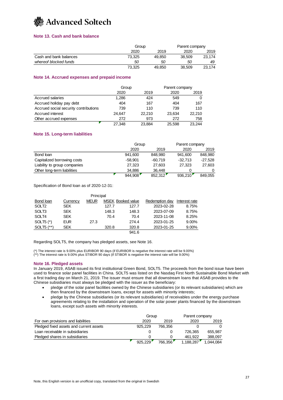## **K** Advanced Soltech

#### **Note 13. Cash and bank balance**

|                        | Group  |        | Parent company |        |
|------------------------|--------|--------|----------------|--------|
|                        | 2020   | 2019   | 2020           | 2019   |
| Cash and bank balances | 73.325 | 49.850 | 38.509         | 23.174 |
| whereof blocked funds  | 50     | 50     | 50             | 49     |
|                        | 73.325 | 49.850 | 38.509         | 23.174 |

#### **Note 14. Accrued expenses and prepaid income**

|                                       | Group  |        | Parent company |        |
|---------------------------------------|--------|--------|----------------|--------|
|                                       | 2020   | 2019   | 2020           | 2019   |
| Accrued salaries                      | 1,286  | 424    | 549            |        |
| Accrued holiday pay debt              | 404    | 167    | 404            | 167    |
| Accrued social security contributions | 739    | 110    | 739            | 110    |
| Accrued interest                      | 24.647 | 22.210 | 23.634         | 22.210 |
| Other accrued expenses                | 272    | 973    | 272            | 758    |
|                                       | 27,348 | 23.884 | 25.598         | 23.244 |

#### **Note 15. Long-term liabilities**

|                              |         | Group     |           | Parent company |  |  |
|------------------------------|---------|-----------|-----------|----------------|--|--|
|                              | 2020    | 2019      | 2020      | 2019           |  |  |
| Bond loan                    | 941.600 | 848,980   | 941.600   | 848,980        |  |  |
| Capitalized borrowing costs  | -58.901 | $-60.719$ | $-32.713$ | $-27,528$      |  |  |
| Liability to group companies | 27.323  | 27,603    | 27.323    | 27,603         |  |  |
| Other long-term liabilities  | 34.886  | 36.448    |           | 0              |  |  |
|                              | 944.908 | 852.312   | 936.210   | 849.055        |  |  |

Specification of Bond loan as of 2020-12-31:

| Principal         |            |             |       |                          |                |               |
|-------------------|------------|-------------|-------|--------------------------|----------------|---------------|
| Bond loan         | Currency   | <b>MEUR</b> |       | <b>MSEK Booked value</b> | Redemption day | Interest rate |
| SOLT <sub>2</sub> | <b>SEK</b> |             | 127.7 | 127.7                    | 2023-02-28     | 8.75%         |
| SOLT <sub>3</sub> | <b>SEK</b> |             | 148.3 | 148.3                    | 2023-07-09     | 8.75%         |
| SOLT4             | <b>SEK</b> |             | 70.4  | 70.4                     | 2023-11-08     | 8.25%         |
| SOLT5 $(*)$       | <b>EUR</b> | 27.3        |       | 274.4                    | 2023-01-25     | $9.00\%$      |
| SOLT5 (**)        | <b>SEK</b> |             | 320.8 | 320.8                    | 2023-01-25     | 9.00%         |
|                   |            |             |       | 941.6                    |                |               |

Regarding SOLT5, the company has pledged assets, see Note 16.

(\*) The interest rate is 9.00% plus EURIBOR 90 days (if EURIBOR is negative the interest rate will be 9.00%) (\*\*) The interest rate is 9.00% plus STIBOR 90 days (if STIBOR is negative the interest rate will be 9.00%)

#### **Note 16. Pledged assets**

In January 2019, ASAB issued its first institutional Green Bond, SOLT5. The proceeds from the bond issue have been used to finance solar panel facilities in China. SOLT5 was listed on the Nasdaq First North Sustainable Bond Market with a first trading day on March 21, 2019. The issuer must ensure that all downstream loans that ASAB provides to the Chinese subsidiaries must always be pledged with the issuer as the beneficiary:

- pledge of the solar panel facilities owned by the Chinese subsidiaries (or its relevant subsidiaries) which are then financed by the downstream loans, except for assets with minority interests;
- pledge by the Chinese subsidiaries (or its relevant subsidiaries) of receivables under the energy purchase agreements relating to the installation and operation of the solar power plants financed by the downstream loans, except such assets with minority interests.

|                                         |  | Group   |         |           | Parent company |  |
|-----------------------------------------|--|---------|---------|-----------|----------------|--|
| For own provisions and liabilities      |  | 2020    | 2019    | 2020      | 2019           |  |
| Pledged fixed assets and current assets |  | 925.229 | 766.356 |           |                |  |
| Loan receivable in subsidiaries         |  |         |         | 726.365   | 655.987        |  |
| Pledged shares in subsidiaries          |  |         |         | 461.922   | 388,097        |  |
|                                         |  | 925.229 | 766.356 | 1.188.287 | 1.044.084      |  |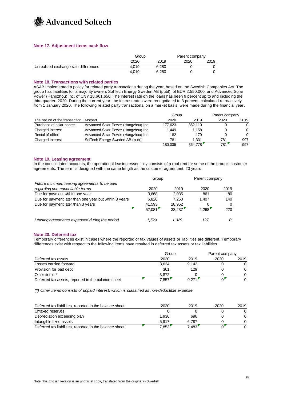

#### **Note 17. Adjustment items cash flow**

|                                      | Group    |          | Parent company |      |
|--------------------------------------|----------|----------|----------------|------|
|                                      | 2020     | 2019     | 2020           | 2019 |
| Unrealized exchange rate differences | $-4.019$ | $-6.280$ |                |      |
|                                      | $-4.019$ | $-6.280$ |                |      |

#### **Note 18. Transactions with related parties**

ASAB implemented a policy for related party transactions during the year, based on the Swedish Companies Act. The group has liabilities to its majority owners SolTech Energy Sweden AB (publ), of EUR 2,550,000, and Advanced Solar Power (Hangzhou) Inc, of CNY 18,661,650. The interest rate on the loans has been 9 percent up to and including the third quarter, 2020. During the current year, the interest rates were renegotiated to 3 percent, calculated retroactively from 1 January 2020. The following related party transactions, on a market basis, were made during the financial year.

|                               | Group                                |         |         | Parent company |          |
|-------------------------------|--------------------------------------|---------|---------|----------------|----------|
| The nature of the transaction | Motpart                              | 2020    | 2019    | 2020           | 2019     |
| Purchase of solar panels      | Advanced Solar Power (Hangzhou) Inc. | 177.623 | 362.110 |                | $\Omega$ |
| Charged interest              | Advanced Solar Power (Hangzhou) Inc. | 1.449   | 1.158   |                | $\Omega$ |
| Rental of office              | Advanced Solar Power (Hangzhou) Inc. | 182     | 179     |                | $\Omega$ |
| Charged interest              | SolTech Energy Sweden AB (publ)      | 781     | 1.331   | 781            | 997      |
|                               |                                      | 180.035 | 364.778 | 781            | 997      |

#### **Note 19. Leasing agreement**

In the consolidated accounts, the operational leasing essentially consists of a roof rent for some of the group's customer agreements. The term is designed with the same length as the customer agreement, 20 years.

|                                                        | Group  |        | Parent company |      |
|--------------------------------------------------------|--------|--------|----------------|------|
| Future minimum leasing agreements to be paid           |        |        |                |      |
| regarding non-cancellable terms                        | 2020   | 2019   | 2020           | 2019 |
| Due for payment within one year                        | 3.668  | 2,035  | 861            | 80   |
| Due for payment later than one year but within 3 years | 6.820  | 7.250  | 1.407          | 140  |
| Due for payment later than 3 years                     | 41.593 | 28.952 |                | 0    |
|                                                        | 52.081 | 38.237 | 2.268          | 220  |
| Leasing agreements expensed during the period          | 1.529  | 1.329  | 127            | 0    |

#### **Note 20. Deferred tax**

Temporary differences exist in cases where the reported or tax values of assets or liabilities are different. Temporary differences exist with respect to the following items have resulted in deferred tax assets or tax liabilities.

|                                                    | Group | Parent company |      |      |
|----------------------------------------------------|-------|----------------|------|------|
| Deferred tax assets                                | 2020  | 2019           | 2020 | 2019 |
| Losses carried forward                             | 3.624 | 9.142          |      |      |
| Provision for bad debt                             | 361   | 129            |      |      |
| Other items *                                      | 3.872 |                |      |      |
| Deferred tax assets, reported in the balance sheet | 7.857 | 9.271          |      |      |

*(\*) Other items consists of unpaid interest, which is classified as non-deductible expense*

| Deferred tax liabilities, reported in the balance sheet | 2020  | 2019  | 2020 | 2019 |
|---------------------------------------------------------|-------|-------|------|------|
| Untaxed reserves                                        |       |       |      |      |
| Depreciation exceeding plan                             | 1.936 | 696   |      |      |
| Intangible fixed assets                                 | 5.917 | 6.787 |      |      |
| Deferred tax liabilities, reported in the balance sheet | 7.853 | 7.483 |      |      |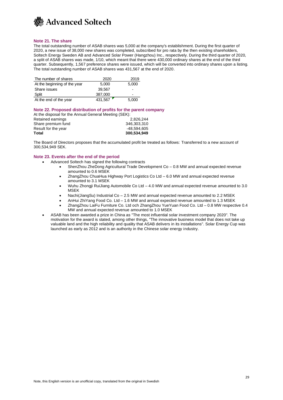

#### **Note 21. The share**

The total outstanding number of ASAB shares was 5,000 at the company's establishment. During the first quarter of 2020, a new issue of 38,000 new shares was completed, subscribed for pro rata by the then existing shareholders, Soltech Energy Sweden AB and Advanced Solar Power (Hangzhou) Inc., respectively. During the third quarter of 2020, a split of ASAB shares was made, 1/10, which meant that there were 430,000 ordinary shares at the end of the third quarter. Subsequently, 1,567 preference shares were issued, which will be converted into ordinary shares upon a listing. The total outstanding number of ASAB shares was 431,567 at the end of 2020.

| The number of shares         | 2020    | 2019                     |
|------------------------------|---------|--------------------------|
| At the beginning of the year | 5,000   | 5,000                    |
| Share issues                 | 39.567  | -                        |
| Split                        | 387.000 | $\overline{\phantom{0}}$ |
| At the end of the year       | 431,567 | 5,000                    |

#### **Note 22. Proposed distribution of profits for the parent company**

| At the disposal for the Annual General Meeting (SEK): |             |
|-------------------------------------------------------|-------------|
| Retained earnings                                     | 2,826,244   |
| Share premium fund                                    | 346.303.310 |
| Result for the year                                   | -48.594.605 |
| Total                                                 | 300.534.949 |

The Board of Directors proposes that the accumulated profit be treated as follows: Transferred to a new account of 300,534,949 SEK.

#### **Note 23. Events after the end of the period**

- Advanced Soltech has signed the following contracts
	- ShenZhou ZheDong Agricultural Trade Development Co 0.8 MW and annual expected revenue amounted to 0.6 MSEK
	- ZhangZhou ChuaHua Highway Port Logistics Co Ltd 6.0 MW and annual expected revenue amounted to 3.1 MSEK
	- Wuhu Zhongji RuiJiang Automobile Co Ltd 4.0 MW and annual expected revenue amounted to 3.0 MSEK
	- Nachi(JiangSu) Industrial Co 2.5 MW and annual expected revenue amounted to 2.2 MSEK
	- AnHui ZhiYang Food Co. Ltd 1.6 MW and annual expected revenue amounted to 1.3 MSEK
	- ZhangZhou LaiFu Furniture Co. Ltd och ZhangZhou YueYuan Food Co. Ltd 0.8 MW respective 0.4 MW and annual expected revenue amounted to 1.0 MSEK
- ASAB has been awarded a prize in China as "The most influential solar investment company 2020". The motivation for the award is stated, among other things, "The innovative business model that does not take up valuable land and the high reliability and quality that ASAB delivers in its installations". Solar Energy Cup was launched as early as 2012 and is an authority in the Chinese solar energy industry.